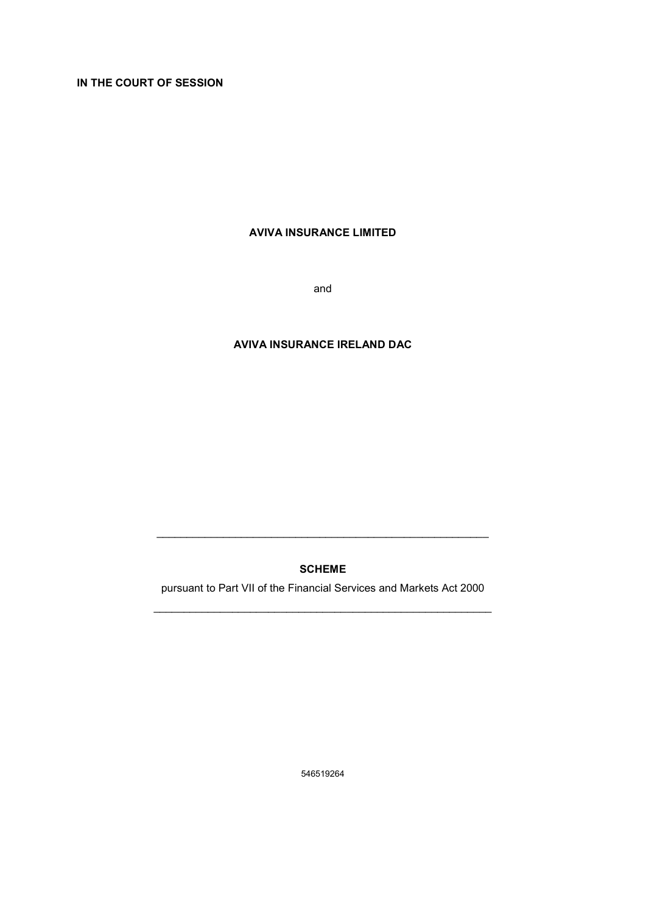IN THE COURT OF SESSION

## AVIVA INSURANCE LIMITED

and

## AVIVA INSURANCE IRELAND DAC

## SCHEME

\_\_\_\_\_\_\_\_\_\_\_\_\_\_\_\_\_\_\_\_\_\_\_\_\_\_\_\_\_\_\_\_\_\_\_\_\_\_\_\_\_\_\_\_\_\_\_\_\_\_\_\_\_\_\_

pursuant to Part VII of the Financial Services and Markets Act 2000 \_\_\_\_\_\_\_\_\_\_\_\_\_\_\_\_\_\_\_\_\_\_\_\_\_\_\_\_\_\_\_\_\_\_\_\_\_\_\_\_\_\_\_\_\_\_\_\_\_\_\_\_\_\_\_\_

546519264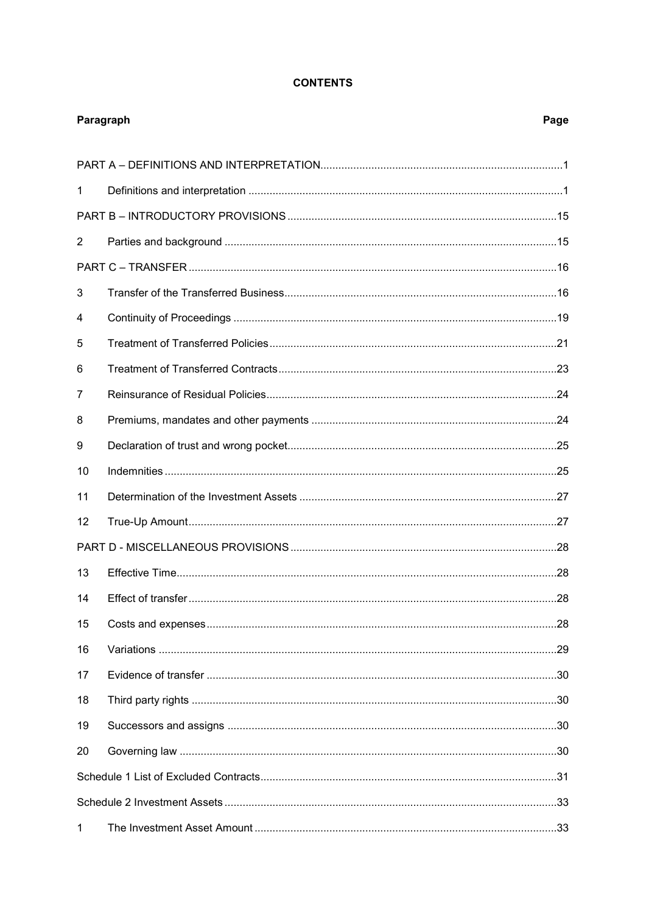## **CONTENTS**

| Paragraph      |  | Page |
|----------------|--|------|
|                |  |      |
| 1              |  |      |
|                |  |      |
| $\overline{2}$ |  |      |
|                |  |      |
| 3              |  |      |
| 4              |  |      |
| 5              |  |      |
| 6              |  |      |
| 7              |  |      |
| 8              |  |      |
| 9              |  |      |
| 10             |  |      |
| 11             |  |      |
| 12             |  |      |
|                |  |      |
| 13             |  |      |
| 14             |  |      |
| 15             |  |      |
| 16             |  |      |
| 17             |  |      |
| 18             |  |      |
| 19             |  |      |
| 20             |  |      |
|                |  |      |
|                |  |      |
| 1              |  |      |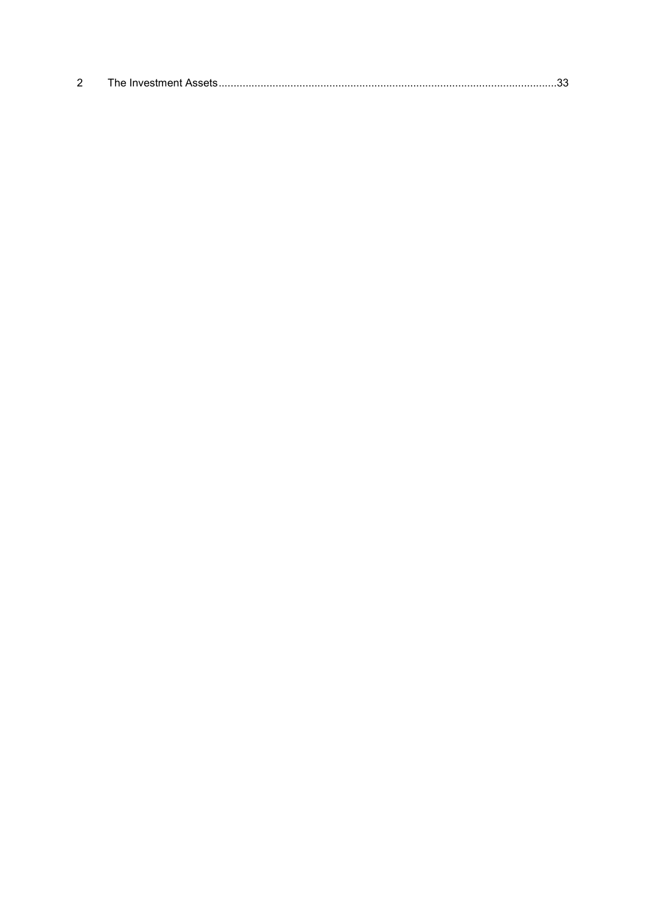|--|--|--|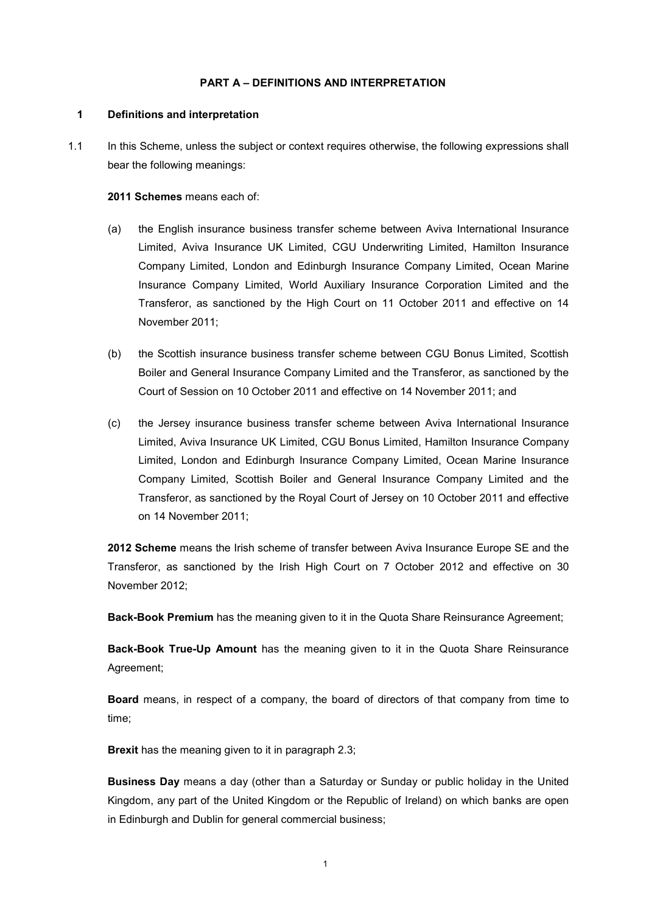#### PART A – DEFINITIONS AND INTERPRETATION

## 1 Definitions and interpretation

1.1 In this Scheme, unless the subject or context requires otherwise, the following expressions shall bear the following meanings:

#### 2011 Schemes means each of:

- (a) the English insurance business transfer scheme between Aviva International Insurance Limited, Aviva Insurance UK Limited, CGU Underwriting Limited, Hamilton Insurance Company Limited, London and Edinburgh Insurance Company Limited, Ocean Marine Insurance Company Limited, World Auxiliary Insurance Corporation Limited and the Transferor, as sanctioned by the High Court on 11 October 2011 and effective on 14 November 2011;
- (b) the Scottish insurance business transfer scheme between CGU Bonus Limited, Scottish Boiler and General Insurance Company Limited and the Transferor, as sanctioned by the Court of Session on 10 October 2011 and effective on 14 November 2011; and
- (c) the Jersey insurance business transfer scheme between Aviva International Insurance Limited, Aviva Insurance UK Limited, CGU Bonus Limited, Hamilton Insurance Company Limited, London and Edinburgh Insurance Company Limited, Ocean Marine Insurance Company Limited, Scottish Boiler and General Insurance Company Limited and the Transferor, as sanctioned by the Royal Court of Jersey on 10 October 2011 and effective on 14 November 2011;

2012 Scheme means the Irish scheme of transfer between Aviva Insurance Europe SE and the Transferor, as sanctioned by the Irish High Court on 7 October 2012 and effective on 30 November 2012;

Back-Book Premium has the meaning given to it in the Quota Share Reinsurance Agreement;

Back-Book True-Up Amount has the meaning given to it in the Quota Share Reinsurance Agreement;

Board means, in respect of a company, the board of directors of that company from time to time;

Brexit has the meaning given to it in paragraph 2.3;

Business Day means a day (other than a Saturday or Sunday or public holiday in the United Kingdom, any part of the United Kingdom or the Republic of Ireland) on which banks are open in Edinburgh and Dublin for general commercial business;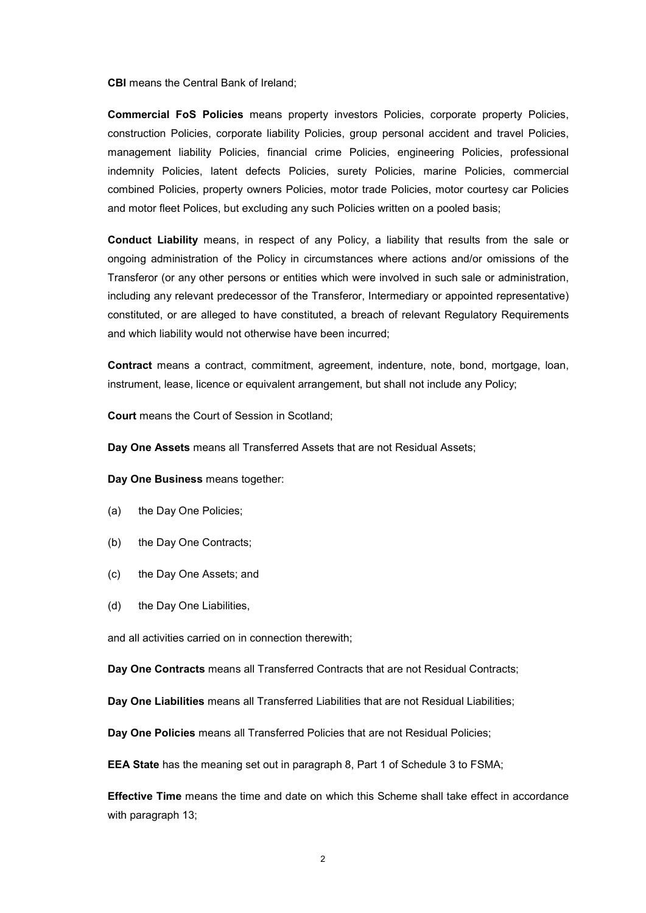CBI means the Central Bank of Ireland;

Commercial FoS Policies means property investors Policies, corporate property Policies, construction Policies, corporate liability Policies, group personal accident and travel Policies, management liability Policies, financial crime Policies, engineering Policies, professional indemnity Policies, latent defects Policies, surety Policies, marine Policies, commercial combined Policies, property owners Policies, motor trade Policies, motor courtesy car Policies and motor fleet Polices, but excluding any such Policies written on a pooled basis;

Conduct Liability means, in respect of any Policy, a liability that results from the sale or ongoing administration of the Policy in circumstances where actions and/or omissions of the Transferor (or any other persons or entities which were involved in such sale or administration, including any relevant predecessor of the Transferor, Intermediary or appointed representative) constituted, or are alleged to have constituted, a breach of relevant Regulatory Requirements and which liability would not otherwise have been incurred;

Contract means a contract, commitment, agreement, indenture, note, bond, mortgage, loan, instrument, lease, licence or equivalent arrangement, but shall not include any Policy;

Court means the Court of Session in Scotland;

Day One Assets means all Transferred Assets that are not Residual Assets;

Day One Business means together:

- (a) the Day One Policies;
- (b) the Day One Contracts;
- (c) the Day One Assets; and
- (d) the Day One Liabilities,

and all activities carried on in connection therewith;

Day One Contracts means all Transferred Contracts that are not Residual Contracts;

Day One Liabilities means all Transferred Liabilities that are not Residual Liabilities;

Day One Policies means all Transferred Policies that are not Residual Policies;

EEA State has the meaning set out in paragraph 8, Part 1 of Schedule 3 to FSMA;

Effective Time means the time and date on which this Scheme shall take effect in accordance with paragraph 13;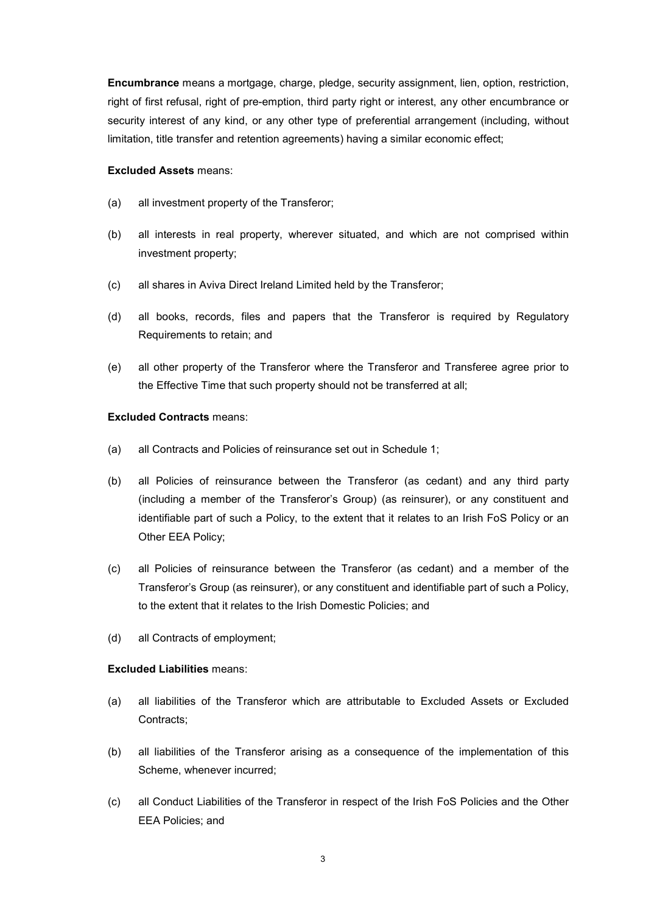Encumbrance means a mortgage, charge, pledge, security assignment, lien, option, restriction, right of first refusal, right of pre-emption, third party right or interest, any other encumbrance or security interest of any kind, or any other type of preferential arrangement (including, without limitation, title transfer and retention agreements) having a similar economic effect;

#### Excluded Assets means:

- (a) all investment property of the Transferor;
- (b) all interests in real property, wherever situated, and which are not comprised within investment property;
- (c) all shares in Aviva Direct Ireland Limited held by the Transferor;
- (d) all books, records, files and papers that the Transferor is required by Regulatory Requirements to retain; and
- (e) all other property of the Transferor where the Transferor and Transferee agree prior to the Effective Time that such property should not be transferred at all;

## Excluded Contracts means:

- (a) all Contracts and Policies of reinsurance set out in Schedule 1;
- (b) all Policies of reinsurance between the Transferor (as cedant) and any third party (including a member of the Transferor's Group) (as reinsurer), or any constituent and identifiable part of such a Policy, to the extent that it relates to an Irish FoS Policy or an Other EEA Policy;
- (c) all Policies of reinsurance between the Transferor (as cedant) and a member of the Transferor's Group (as reinsurer), or any constituent and identifiable part of such a Policy, to the extent that it relates to the Irish Domestic Policies; and
- (d) all Contracts of employment;

#### Excluded Liabilities means:

- (a) all liabilities of the Transferor which are attributable to Excluded Assets or Excluded Contracts;
- (b) all liabilities of the Transferor arising as a consequence of the implementation of this Scheme, whenever incurred;
- (c) all Conduct Liabilities of the Transferor in respect of the Irish FoS Policies and the Other EEA Policies; and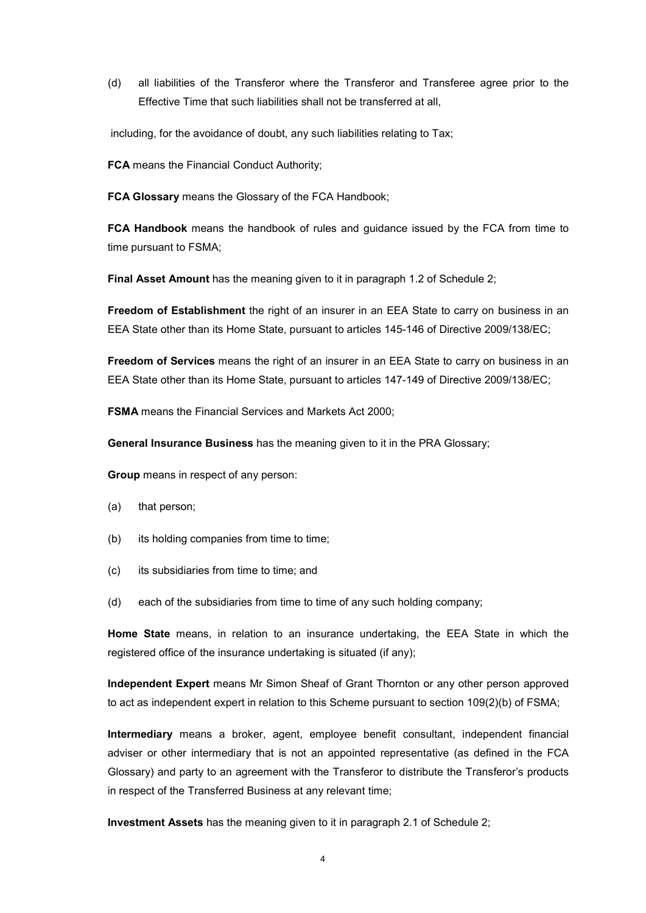(d) all liabilities of the Transferor where the Transferor and Transferee agree prior to the Effective Time that such liabilities shall not be transferred at all,

including, for the avoidance of doubt, any such liabilities relating to Tax;

FCA means the Financial Conduct Authority;

FCA Glossary means the Glossary of the FCA Handbook;

FCA Handbook means the handbook of rules and guidance issued by the FCA from time to time pursuant to FSMA;

Final Asset Amount has the meaning given to it in paragraph 1.2 of Schedule 2;

Freedom of Establishment the right of an insurer in an EEA State to carry on business in an EEA State other than its Home State, pursuant to articles 145-146 of Directive 2009/138/EC;

Freedom of Services means the right of an insurer in an EEA State to carry on business in an EEA State other than its Home State, pursuant to articles 147-149 of Directive 2009/138/EC;

FSMA means the Financial Services and Markets Act 2000;

General Insurance Business has the meaning given to it in the PRA Glossary;

Group means in respect of any person:

- (a) that person;
- (b) its holding companies from time to time;
- (c) its subsidiaries from time to time; and
- (d) each of the subsidiaries from time to time of any such holding company;

Home State means, in relation to an insurance undertaking, the EEA State in which the registered office of the insurance undertaking is situated (if any);

Independent Expert means Mr Simon Sheaf of Grant Thornton or any other person approved to act as independent expert in relation to this Scheme pursuant to section 109(2)(b) of FSMA;

Intermediary means a broker, agent, employee benefit consultant, independent financial adviser or other intermediary that is not an appointed representative (as defined in the FCA Glossary) and party to an agreement with the Transferor to distribute the Transferor's products in respect of the Transferred Business at any relevant time;

Investment Assets has the meaning given to it in paragraph 2.1 of Schedule 2;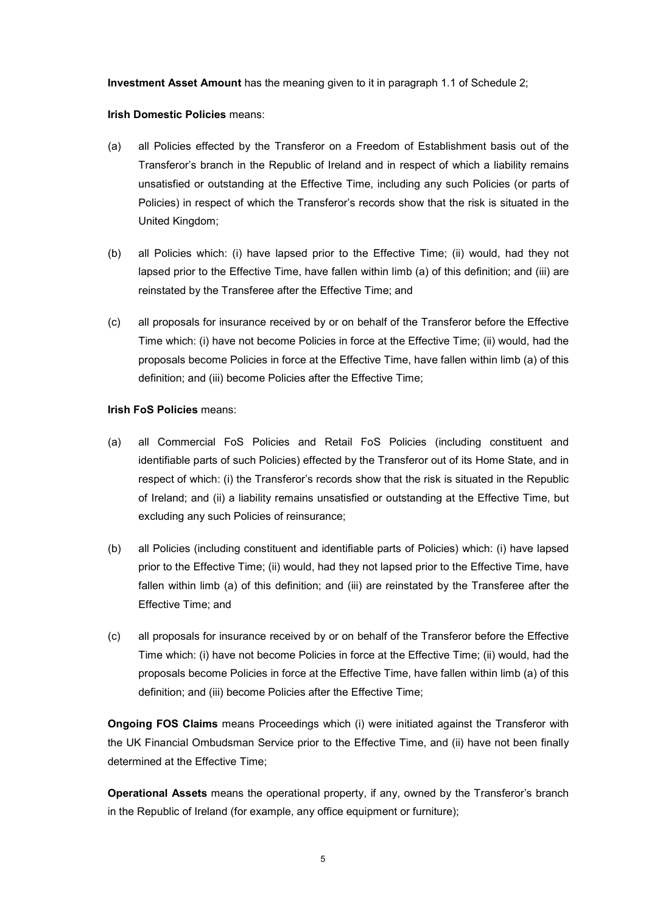Investment Asset Amount has the meaning given to it in paragraph 1.1 of Schedule 2;

#### Irish Domestic Policies means:

- (a) all Policies effected by the Transferor on a Freedom of Establishment basis out of the Transferor's branch in the Republic of Ireland and in respect of which a liability remains unsatisfied or outstanding at the Effective Time, including any such Policies (or parts of Policies) in respect of which the Transferor's records show that the risk is situated in the United Kingdom;
- (b) all Policies which: (i) have lapsed prior to the Effective Time; (ii) would, had they not lapsed prior to the Effective Time, have fallen within limb (a) of this definition; and (iii) are reinstated by the Transferee after the Effective Time; and
- (c) all proposals for insurance received by or on behalf of the Transferor before the Effective Time which: (i) have not become Policies in force at the Effective Time; (ii) would, had the proposals become Policies in force at the Effective Time, have fallen within limb (a) of this definition; and (iii) become Policies after the Effective Time;

#### Irish FoS Policies means:

- (a) all Commercial FoS Policies and Retail FoS Policies (including constituent and identifiable parts of such Policies) effected by the Transferor out of its Home State, and in respect of which: (i) the Transferor's records show that the risk is situated in the Republic of Ireland; and (ii) a liability remains unsatisfied or outstanding at the Effective Time, but excluding any such Policies of reinsurance;
- (b) all Policies (including constituent and identifiable parts of Policies) which: (i) have lapsed prior to the Effective Time; (ii) would, had they not lapsed prior to the Effective Time, have fallen within limb (a) of this definition; and (iii) are reinstated by the Transferee after the Effective Time; and
- (c) all proposals for insurance received by or on behalf of the Transferor before the Effective Time which: (i) have not become Policies in force at the Effective Time; (ii) would, had the proposals become Policies in force at the Effective Time, have fallen within limb (a) of this definition; and (iii) become Policies after the Effective Time;

**Ongoing FOS Claims** means Proceedings which (i) were initiated against the Transferor with the UK Financial Ombudsman Service prior to the Effective Time, and (ii) have not been finally determined at the Effective Time;

Operational Assets means the operational property, if any, owned by the Transferor's branch in the Republic of Ireland (for example, any office equipment or furniture);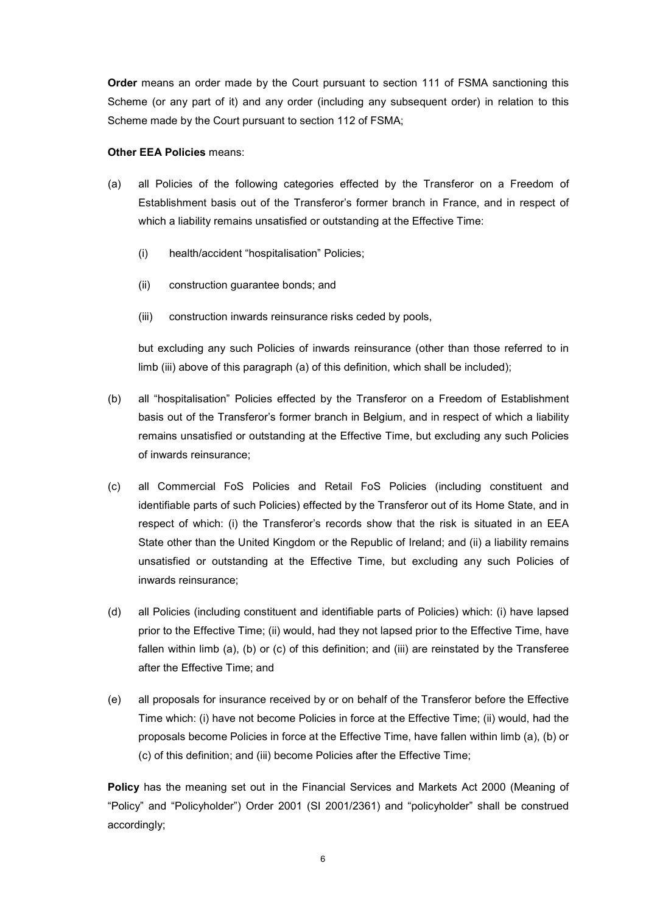Order means an order made by the Court pursuant to section 111 of FSMA sanctioning this Scheme (or any part of it) and any order (including any subsequent order) in relation to this Scheme made by the Court pursuant to section 112 of FSMA;

#### Other EEA Policies means:

- (a) all Policies of the following categories effected by the Transferor on a Freedom of Establishment basis out of the Transferor's former branch in France, and in respect of which a liability remains unsatisfied or outstanding at the Effective Time:
	- (i) health/accident "hospitalisation" Policies;
	- (ii) construction guarantee bonds; and
	- (iii) construction inwards reinsurance risks ceded by pools,

but excluding any such Policies of inwards reinsurance (other than those referred to in limb (iii) above of this paragraph (a) of this definition, which shall be included);

- (b) all "hospitalisation" Policies effected by the Transferor on a Freedom of Establishment basis out of the Transferor's former branch in Belgium, and in respect of which a liability remains unsatisfied or outstanding at the Effective Time, but excluding any such Policies of inwards reinsurance;
- (c) all Commercial FoS Policies and Retail FoS Policies (including constituent and identifiable parts of such Policies) effected by the Transferor out of its Home State, and in respect of which: (i) the Transferor's records show that the risk is situated in an EEA State other than the United Kingdom or the Republic of Ireland; and (ii) a liability remains unsatisfied or outstanding at the Effective Time, but excluding any such Policies of inwards reinsurance;
- (d) all Policies (including constituent and identifiable parts of Policies) which: (i) have lapsed prior to the Effective Time; (ii) would, had they not lapsed prior to the Effective Time, have fallen within limb (a), (b) or (c) of this definition; and (iii) are reinstated by the Transferee after the Effective Time; and
- (e) all proposals for insurance received by or on behalf of the Transferor before the Effective Time which: (i) have not become Policies in force at the Effective Time; (ii) would, had the proposals become Policies in force at the Effective Time, have fallen within limb (a), (b) or (c) of this definition; and (iii) become Policies after the Effective Time;

Policy has the meaning set out in the Financial Services and Markets Act 2000 (Meaning of "Policy" and "Policyholder") Order 2001 (SI 2001/2361) and "policyholder" shall be construed accordingly;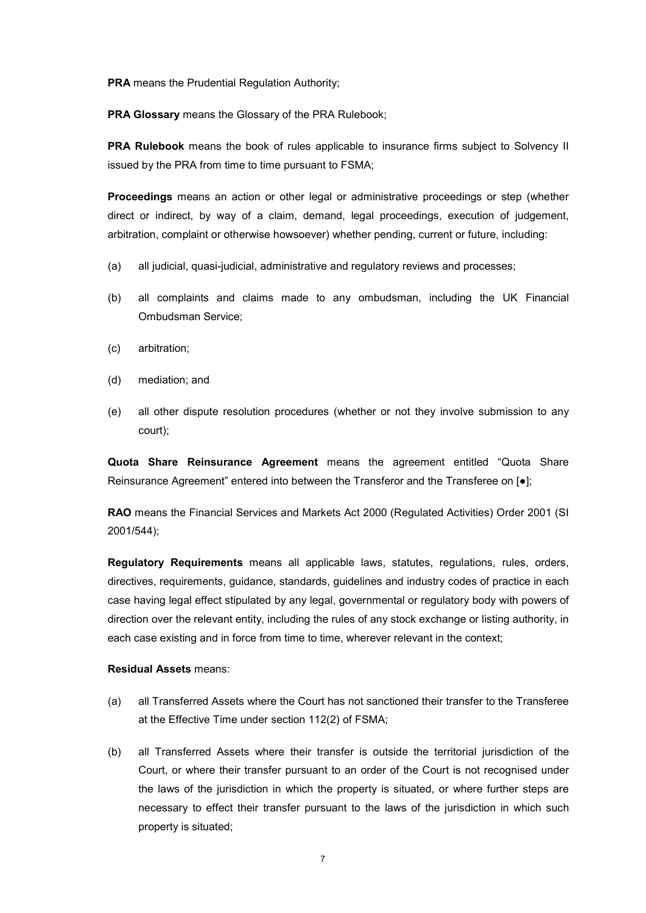PRA means the Prudential Regulation Authority;

PRA Glossary means the Glossary of the PRA Rulebook;

PRA Rulebook means the book of rules applicable to insurance firms subject to Solvency II issued by the PRA from time to time pursuant to FSMA;

Proceedings means an action or other legal or administrative proceedings or step (whether direct or indirect, by way of a claim, demand, legal proceedings, execution of judgement, arbitration, complaint or otherwise howsoever) whether pending, current or future, including:

- (a) all judicial, quasi-judicial, administrative and regulatory reviews and processes;
- (b) all complaints and claims made to any ombudsman, including the UK Financial Ombudsman Service;
- (c) arbitration;
- (d) mediation; and
- (e) all other dispute resolution procedures (whether or not they involve submission to any court);

Quota Share Reinsurance Agreement means the agreement entitled "Quota Share Reinsurance Agreement" entered into between the Transferor and the Transferee on [●];

RAO means the Financial Services and Markets Act 2000 (Regulated Activities) Order 2001 (SI 2001/544);

Regulatory Requirements means all applicable laws, statutes, regulations, rules, orders, directives, requirements, guidance, standards, guidelines and industry codes of practice in each case having legal effect stipulated by any legal, governmental or regulatory body with powers of direction over the relevant entity, including the rules of any stock exchange or listing authority, in each case existing and in force from time to time, wherever relevant in the context;

#### Residual Assets means:

- (a) all Transferred Assets where the Court has not sanctioned their transfer to the Transferee at the Effective Time under section 112(2) of FSMA;
- (b) all Transferred Assets where their transfer is outside the territorial jurisdiction of the Court, or where their transfer pursuant to an order of the Court is not recognised under the laws of the jurisdiction in which the property is situated, or where further steps are necessary to effect their transfer pursuant to the laws of the jurisdiction in which such property is situated;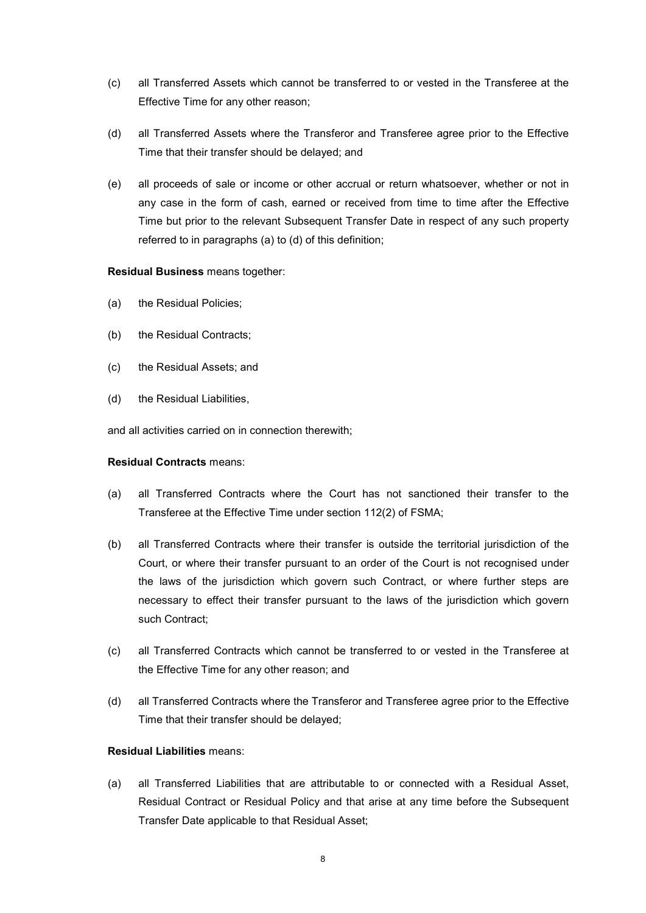- (c) all Transferred Assets which cannot be transferred to or vested in the Transferee at the Effective Time for any other reason;
- (d) all Transferred Assets where the Transferor and Transferee agree prior to the Effective Time that their transfer should be delayed; and
- (e) all proceeds of sale or income or other accrual or return whatsoever, whether or not in any case in the form of cash, earned or received from time to time after the Effective Time but prior to the relevant Subsequent Transfer Date in respect of any such property referred to in paragraphs (a) to (d) of this definition;

#### Residual Business means together:

- (a) the Residual Policies;
- (b) the Residual Contracts;
- (c) the Residual Assets; and
- (d) the Residual Liabilities,

and all activities carried on in connection therewith;

#### Residual Contracts means:

- (a) all Transferred Contracts where the Court has not sanctioned their transfer to the Transferee at the Effective Time under section 112(2) of FSMA;
- (b) all Transferred Contracts where their transfer is outside the territorial jurisdiction of the Court, or where their transfer pursuant to an order of the Court is not recognised under the laws of the jurisdiction which govern such Contract, or where further steps are necessary to effect their transfer pursuant to the laws of the jurisdiction which govern such Contract;
- (c) all Transferred Contracts which cannot be transferred to or vested in the Transferee at the Effective Time for any other reason; and
- (d) all Transferred Contracts where the Transferor and Transferee agree prior to the Effective Time that their transfer should be delayed;

## Residual Liabilities means:

(a) all Transferred Liabilities that are attributable to or connected with a Residual Asset, Residual Contract or Residual Policy and that arise at any time before the Subsequent Transfer Date applicable to that Residual Asset;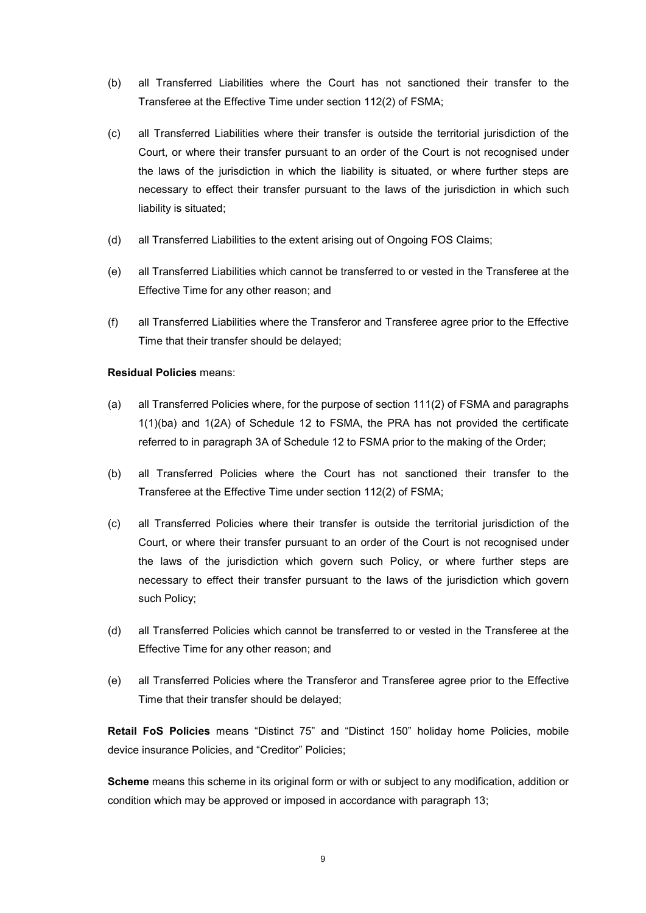- (b) all Transferred Liabilities where the Court has not sanctioned their transfer to the Transferee at the Effective Time under section 112(2) of FSMA;
- (c) all Transferred Liabilities where their transfer is outside the territorial jurisdiction of the Court, or where their transfer pursuant to an order of the Court is not recognised under the laws of the jurisdiction in which the liability is situated, or where further steps are necessary to effect their transfer pursuant to the laws of the jurisdiction in which such liability is situated;
- (d) all Transferred Liabilities to the extent arising out of Ongoing FOS Claims;
- (e) all Transferred Liabilities which cannot be transferred to or vested in the Transferee at the Effective Time for any other reason; and
- (f) all Transferred Liabilities where the Transferor and Transferee agree prior to the Effective Time that their transfer should be delayed;

#### Residual Policies means:

- (a) all Transferred Policies where, for the purpose of section 111(2) of FSMA and paragraphs 1(1)(ba) and 1(2A) of Schedule 12 to FSMA, the PRA has not provided the certificate referred to in paragraph 3A of Schedule 12 to FSMA prior to the making of the Order;
- (b) all Transferred Policies where the Court has not sanctioned their transfer to the Transferee at the Effective Time under section 112(2) of FSMA;
- (c) all Transferred Policies where their transfer is outside the territorial jurisdiction of the Court, or where their transfer pursuant to an order of the Court is not recognised under the laws of the jurisdiction which govern such Policy, or where further steps are necessary to effect their transfer pursuant to the laws of the jurisdiction which govern such Policy;
- (d) all Transferred Policies which cannot be transferred to or vested in the Transferee at the Effective Time for any other reason; and
- (e) all Transferred Policies where the Transferor and Transferee agree prior to the Effective Time that their transfer should be delayed;

Retail FoS Policies means "Distinct 75" and "Distinct 150" holiday home Policies, mobile device insurance Policies, and "Creditor" Policies;

Scheme means this scheme in its original form or with or subject to any modification, addition or condition which may be approved or imposed in accordance with paragraph 13;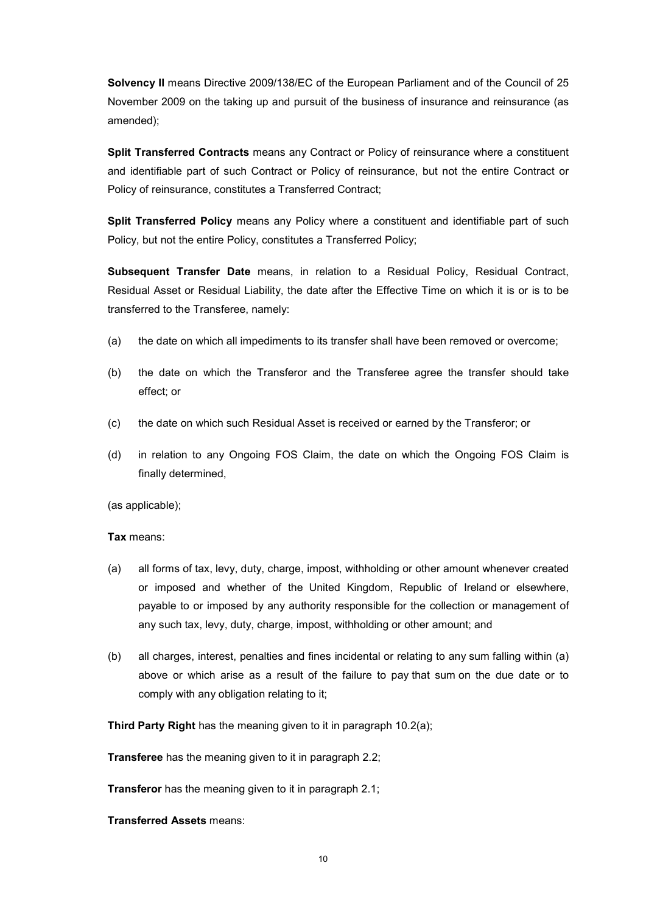Solvency II means Directive 2009/138/EC of the European Parliament and of the Council of 25 November 2009 on the taking up and pursuit of the business of insurance and reinsurance (as amended);

Split Transferred Contracts means any Contract or Policy of reinsurance where a constituent and identifiable part of such Contract or Policy of reinsurance, but not the entire Contract or Policy of reinsurance, constitutes a Transferred Contract;

Split Transferred Policy means any Policy where a constituent and identifiable part of such Policy, but not the entire Policy, constitutes a Transferred Policy;

Subsequent Transfer Date means, in relation to a Residual Policy, Residual Contract, Residual Asset or Residual Liability, the date after the Effective Time on which it is or is to be transferred to the Transferee, namely:

- (a) the date on which all impediments to its transfer shall have been removed or overcome;
- (b) the date on which the Transferor and the Transferee agree the transfer should take effect; or
- (c) the date on which such Residual Asset is received or earned by the Transferor; or
- (d) in relation to any Ongoing FOS Claim, the date on which the Ongoing FOS Claim is finally determined,

(as applicable);

Tax means:

- (a) all forms of tax, levy, duty, charge, impost, withholding or other amount whenever created or imposed and whether of the United Kingdom, Republic of Ireland or elsewhere, payable to or imposed by any authority responsible for the collection or management of any such tax, levy, duty, charge, impost, withholding or other amount; and
- (b) all charges, interest, penalties and fines incidental or relating to any sum falling within (a) above or which arise as a result of the failure to pay that sum on the due date or to comply with any obligation relating to it;

Third Party Right has the meaning given to it in paragraph 10.2(a);

**Transferee** has the meaning given to it in paragraph 2.2;

Transferor has the meaning given to it in paragraph 2.1;

Transferred Assets means: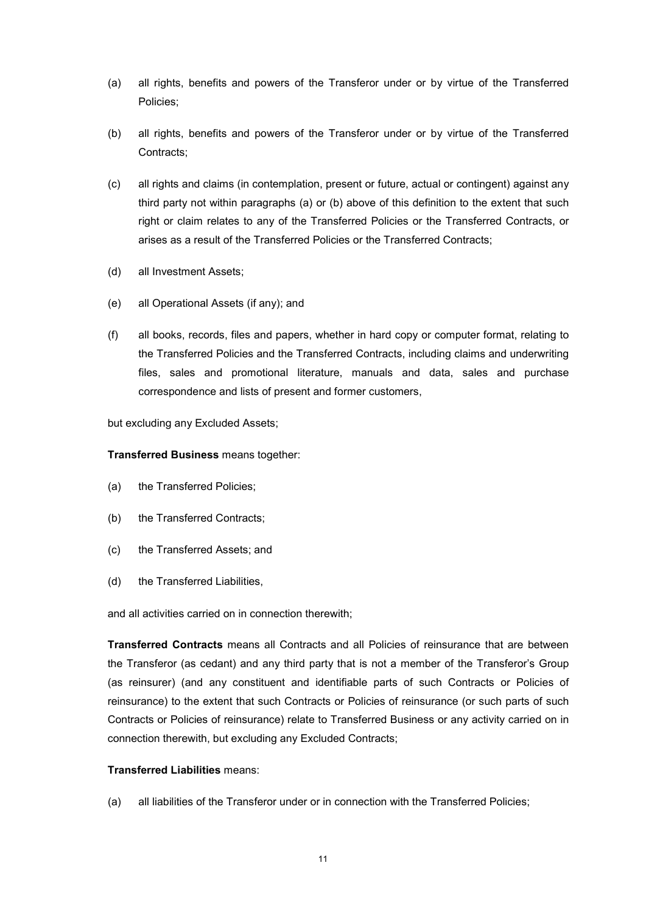- (a) all rights, benefits and powers of the Transferor under or by virtue of the Transferred Policies;
- (b) all rights, benefits and powers of the Transferor under or by virtue of the Transferred Contracts;
- (c) all rights and claims (in contemplation, present or future, actual or contingent) against any third party not within paragraphs (a) or (b) above of this definition to the extent that such right or claim relates to any of the Transferred Policies or the Transferred Contracts, or arises as a result of the Transferred Policies or the Transferred Contracts;
- (d) all Investment Assets;
- (e) all Operational Assets (if any); and
- (f) all books, records, files and papers, whether in hard copy or computer format, relating to the Transferred Policies and the Transferred Contracts, including claims and underwriting files, sales and promotional literature, manuals and data, sales and purchase correspondence and lists of present and former customers,

## but excluding any Excluded Assets;

## Transferred Business means together:

- (a) the Transferred Policies;
- (b) the Transferred Contracts;
- (c) the Transferred Assets; and
- (d) the Transferred Liabilities,

and all activities carried on in connection therewith;

Transferred Contracts means all Contracts and all Policies of reinsurance that are between the Transferor (as cedant) and any third party that is not a member of the Transferor's Group (as reinsurer) (and any constituent and identifiable parts of such Contracts or Policies of reinsurance) to the extent that such Contracts or Policies of reinsurance (or such parts of such Contracts or Policies of reinsurance) relate to Transferred Business or any activity carried on in connection therewith, but excluding any Excluded Contracts;

## Transferred Liabilities means:

(a) all liabilities of the Transferor under or in connection with the Transferred Policies;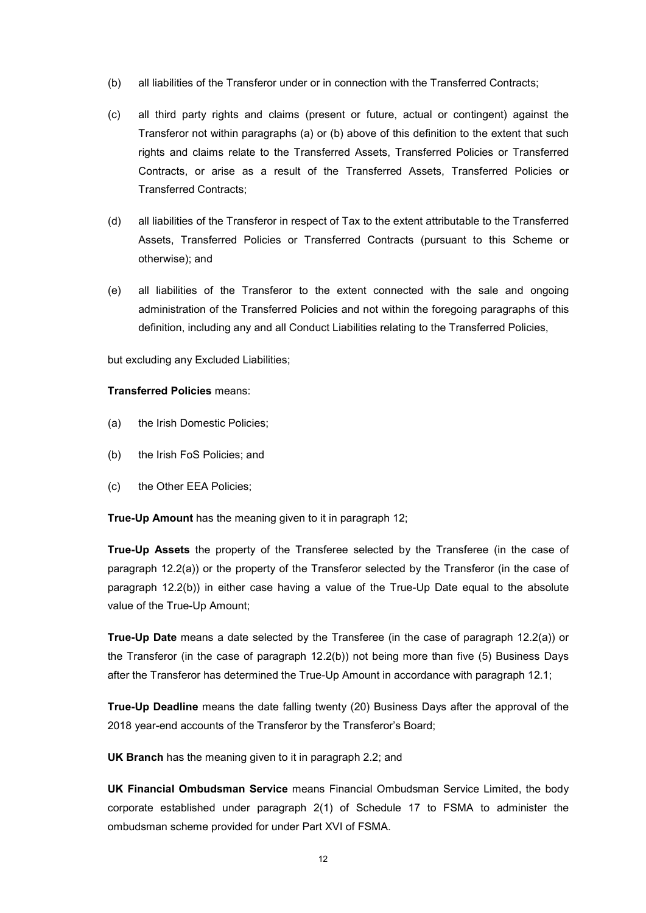- (b) all liabilities of the Transferor under or in connection with the Transferred Contracts;
- (c) all third party rights and claims (present or future, actual or contingent) against the Transferor not within paragraphs (a) or (b) above of this definition to the extent that such rights and claims relate to the Transferred Assets, Transferred Policies or Transferred Contracts, or arise as a result of the Transferred Assets, Transferred Policies or Transferred Contracts;
- (d) all liabilities of the Transferor in respect of Tax to the extent attributable to the Transferred Assets, Transferred Policies or Transferred Contracts (pursuant to this Scheme or otherwise); and
- (e) all liabilities of the Transferor to the extent connected with the sale and ongoing administration of the Transferred Policies and not within the foregoing paragraphs of this definition, including any and all Conduct Liabilities relating to the Transferred Policies,

but excluding any Excluded Liabilities;

#### Transferred Policies means:

- (a) the Irish Domestic Policies;
- (b) the Irish FoS Policies; and
- (c) the Other EEA Policies;

True-Up Amount has the meaning given to it in paragraph 12;

True-Up Assets the property of the Transferee selected by the Transferee (in the case of paragraph 12.2(a)) or the property of the Transferor selected by the Transferor (in the case of paragraph 12.2(b)) in either case having a value of the True-Up Date equal to the absolute value of the True-Up Amount;

True-Up Date means a date selected by the Transferee (in the case of paragraph 12.2(a)) or the Transferor (in the case of paragraph 12.2(b)) not being more than five (5) Business Days after the Transferor has determined the True-Up Amount in accordance with paragraph 12.1;

True-Up Deadline means the date falling twenty (20) Business Days after the approval of the 2018 year-end accounts of the Transferor by the Transferor's Board;

UK Branch has the meaning given to it in paragraph 2.2; and

UK Financial Ombudsman Service means Financial Ombudsman Service Limited, the body corporate established under paragraph 2(1) of Schedule 17 to FSMA to administer the ombudsman scheme provided for under Part XVI of FSMA.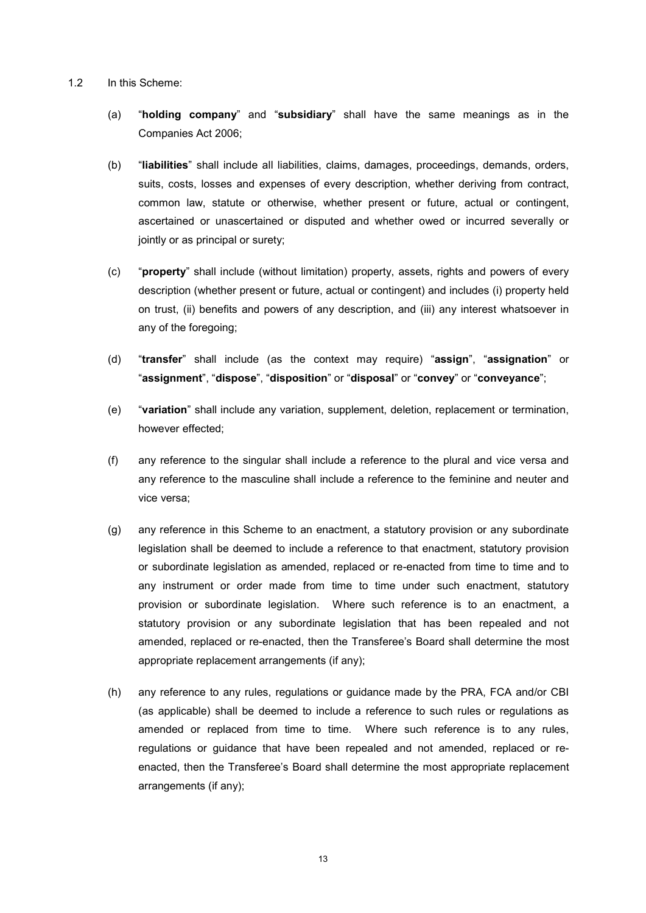- 1.2 In this Scheme:
	- (a) "holding company" and "subsidiary" shall have the same meanings as in the Companies Act 2006;
	- (b) "liabilities" shall include all liabilities, claims, damages, proceedings, demands, orders, suits, costs, losses and expenses of every description, whether deriving from contract, common law, statute or otherwise, whether present or future, actual or contingent, ascertained or unascertained or disputed and whether owed or incurred severally or jointly or as principal or surety;
	- (c) "property" shall include (without limitation) property, assets, rights and powers of every description (whether present or future, actual or contingent) and includes (i) property held on trust, (ii) benefits and powers of any description, and (iii) any interest whatsoever in any of the foregoing;
	- (d) "transfer" shall include (as the context may require) "assign", "assignation" or "assignment", "dispose", "disposition" or "disposal" or "convey" or "conveyance";
	- (e) "variation" shall include any variation, supplement, deletion, replacement or termination, however effected;
	- (f) any reference to the singular shall include a reference to the plural and vice versa and any reference to the masculine shall include a reference to the feminine and neuter and vice versa;
	- (g) any reference in this Scheme to an enactment, a statutory provision or any subordinate legislation shall be deemed to include a reference to that enactment, statutory provision or subordinate legislation as amended, replaced or re-enacted from time to time and to any instrument or order made from time to time under such enactment, statutory provision or subordinate legislation. Where such reference is to an enactment, a statutory provision or any subordinate legislation that has been repealed and not amended, replaced or re-enacted, then the Transferee's Board shall determine the most appropriate replacement arrangements (if any);
	- (h) any reference to any rules, regulations or guidance made by the PRA, FCA and/or CBI (as applicable) shall be deemed to include a reference to such rules or regulations as amended or replaced from time to time. Where such reference is to any rules, regulations or guidance that have been repealed and not amended, replaced or reenacted, then the Transferee's Board shall determine the most appropriate replacement arrangements (if any);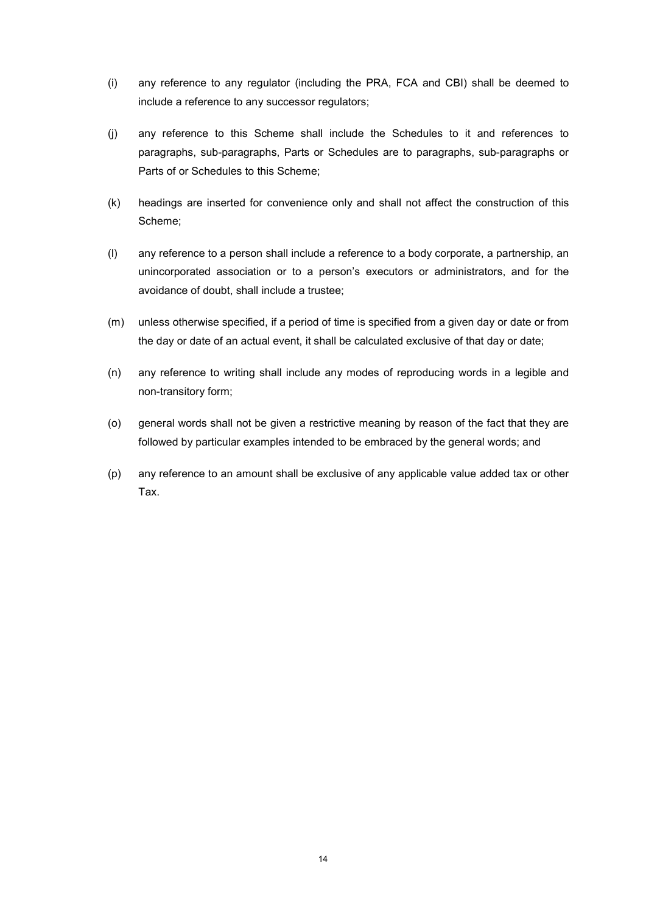- (i) any reference to any regulator (including the PRA, FCA and CBI) shall be deemed to include a reference to any successor regulators;
- (j) any reference to this Scheme shall include the Schedules to it and references to paragraphs, sub-paragraphs, Parts or Schedules are to paragraphs, sub-paragraphs or Parts of or Schedules to this Scheme;
- (k) headings are inserted for convenience only and shall not affect the construction of this Scheme;
- (l) any reference to a person shall include a reference to a body corporate, a partnership, an unincorporated association or to a person's executors or administrators, and for the avoidance of doubt, shall include a trustee;
- (m) unless otherwise specified, if a period of time is specified from a given day or date or from the day or date of an actual event, it shall be calculated exclusive of that day or date;
- (n) any reference to writing shall include any modes of reproducing words in a legible and non-transitory form;
- (o) general words shall not be given a restrictive meaning by reason of the fact that they are followed by particular examples intended to be embraced by the general words; and
- (p) any reference to an amount shall be exclusive of any applicable value added tax or other Tax.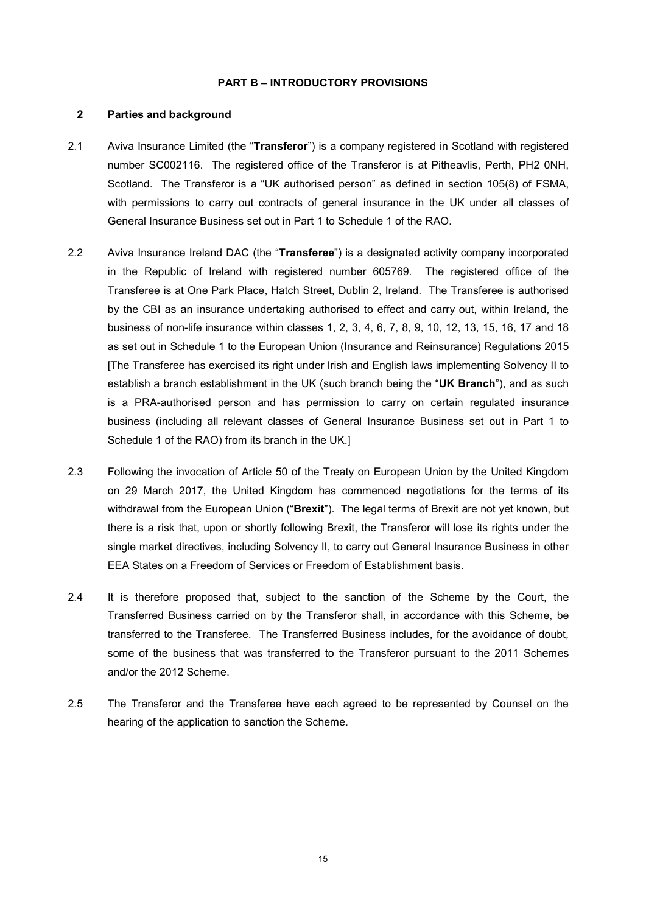#### PART B – INTRODUCTORY PROVISIONS

## 2 Parties and background

- 2.1 Aviva Insurance Limited (the "Transferor") is a company registered in Scotland with registered number SC002116. The registered office of the Transferor is at Pitheavlis, Perth, PH2 0NH, Scotland. The Transferor is a "UK authorised person" as defined in section 105(8) of FSMA, with permissions to carry out contracts of general insurance in the UK under all classes of General Insurance Business set out in Part 1 to Schedule 1 of the RAO.
- 2.2 Aviva Insurance Ireland DAC (the "Transferee") is a designated activity company incorporated in the Republic of Ireland with registered number 605769. The registered office of the Transferee is at One Park Place, Hatch Street, Dublin 2, Ireland. The Transferee is authorised by the CBI as an insurance undertaking authorised to effect and carry out, within Ireland, the business of non-life insurance within classes 1, 2, 3, 4, 6, 7, 8, 9, 10, 12, 13, 15, 16, 17 and 18 as set out in Schedule 1 to the European Union (Insurance and Reinsurance) Regulations 2015 [The Transferee has exercised its right under Irish and English laws implementing Solvency II to establish a branch establishment in the UK (such branch being the "UK Branch"), and as such is a PRA-authorised person and has permission to carry on certain regulated insurance business (including all relevant classes of General Insurance Business set out in Part 1 to Schedule 1 of the RAO) from its branch in the UK.]
- 2.3 Following the invocation of Article 50 of the Treaty on European Union by the United Kingdom on 29 March 2017, the United Kingdom has commenced negotiations for the terms of its withdrawal from the European Union ("Brexit"). The legal terms of Brexit are not yet known, but there is a risk that, upon or shortly following Brexit, the Transferor will lose its rights under the single market directives, including Solvency II, to carry out General Insurance Business in other EEA States on a Freedom of Services or Freedom of Establishment basis.
- 2.4 It is therefore proposed that, subject to the sanction of the Scheme by the Court, the Transferred Business carried on by the Transferor shall, in accordance with this Scheme, be transferred to the Transferee. The Transferred Business includes, for the avoidance of doubt, some of the business that was transferred to the Transferor pursuant to the 2011 Schemes and/or the 2012 Scheme.
- 2.5 The Transferor and the Transferee have each agreed to be represented by Counsel on the hearing of the application to sanction the Scheme.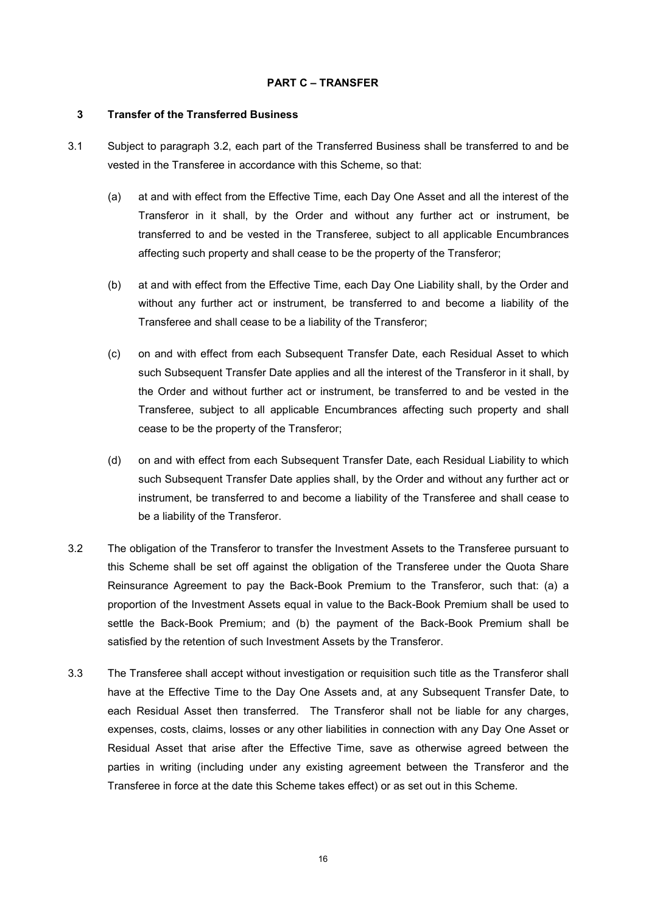#### PART C – TRANSFER

#### 3 Transfer of the Transferred Business

- 3.1 Subject to paragraph 3.2, each part of the Transferred Business shall be transferred to and be vested in the Transferee in accordance with this Scheme, so that:
	- (a) at and with effect from the Effective Time, each Day One Asset and all the interest of the Transferor in it shall, by the Order and without any further act or instrument, be transferred to and be vested in the Transferee, subject to all applicable Encumbrances affecting such property and shall cease to be the property of the Transferor;
	- (b) at and with effect from the Effective Time, each Day One Liability shall, by the Order and without any further act or instrument, be transferred to and become a liability of the Transferee and shall cease to be a liability of the Transferor;
	- (c) on and with effect from each Subsequent Transfer Date, each Residual Asset to which such Subsequent Transfer Date applies and all the interest of the Transferor in it shall, by the Order and without further act or instrument, be transferred to and be vested in the Transferee, subject to all applicable Encumbrances affecting such property and shall cease to be the property of the Transferor;
	- (d) on and with effect from each Subsequent Transfer Date, each Residual Liability to which such Subsequent Transfer Date applies shall, by the Order and without any further act or instrument, be transferred to and become a liability of the Transferee and shall cease to be a liability of the Transferor.
- 3.2 The obligation of the Transferor to transfer the Investment Assets to the Transferee pursuant to this Scheme shall be set off against the obligation of the Transferee under the Quota Share Reinsurance Agreement to pay the Back-Book Premium to the Transferor, such that: (a) a proportion of the Investment Assets equal in value to the Back-Book Premium shall be used to settle the Back-Book Premium; and (b) the payment of the Back-Book Premium shall be satisfied by the retention of such Investment Assets by the Transferor.
- 3.3 The Transferee shall accept without investigation or requisition such title as the Transferor shall have at the Effective Time to the Day One Assets and, at any Subsequent Transfer Date, to each Residual Asset then transferred. The Transferor shall not be liable for any charges, expenses, costs, claims, losses or any other liabilities in connection with any Day One Asset or Residual Asset that arise after the Effective Time, save as otherwise agreed between the parties in writing (including under any existing agreement between the Transferor and the Transferee in force at the date this Scheme takes effect) or as set out in this Scheme.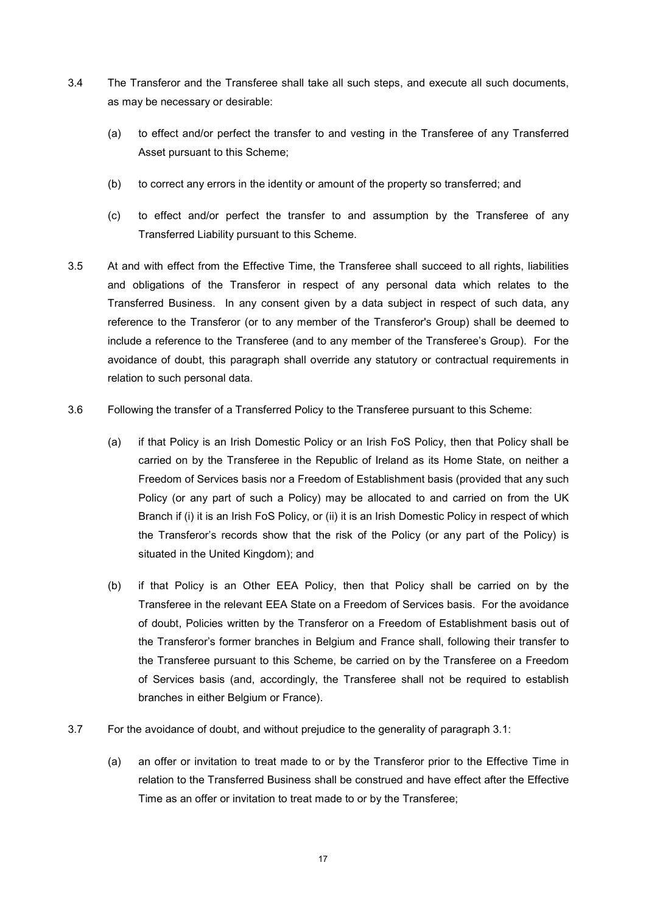- 3.4 The Transferor and the Transferee shall take all such steps, and execute all such documents, as may be necessary or desirable:
	- (a) to effect and/or perfect the transfer to and vesting in the Transferee of any Transferred Asset pursuant to this Scheme;
	- (b) to correct any errors in the identity or amount of the property so transferred; and
	- (c) to effect and/or perfect the transfer to and assumption by the Transferee of any Transferred Liability pursuant to this Scheme.
- 3.5 At and with effect from the Effective Time, the Transferee shall succeed to all rights, liabilities and obligations of the Transferor in respect of any personal data which relates to the Transferred Business. In any consent given by a data subject in respect of such data, any reference to the Transferor (or to any member of the Transferor's Group) shall be deemed to include a reference to the Transferee (and to any member of the Transferee's Group). For the avoidance of doubt, this paragraph shall override any statutory or contractual requirements in relation to such personal data.
- 3.6 Following the transfer of a Transferred Policy to the Transferee pursuant to this Scheme:
	- (a) if that Policy is an Irish Domestic Policy or an Irish FoS Policy, then that Policy shall be carried on by the Transferee in the Republic of Ireland as its Home State, on neither a Freedom of Services basis nor a Freedom of Establishment basis (provided that any such Policy (or any part of such a Policy) may be allocated to and carried on from the UK Branch if (i) it is an Irish FoS Policy, or (ii) it is an Irish Domestic Policy in respect of which the Transferor's records show that the risk of the Policy (or any part of the Policy) is situated in the United Kingdom); and
	- (b) if that Policy is an Other EEA Policy, then that Policy shall be carried on by the Transferee in the relevant EEA State on a Freedom of Services basis. For the avoidance of doubt, Policies written by the Transferor on a Freedom of Establishment basis out of the Transferor's former branches in Belgium and France shall, following their transfer to the Transferee pursuant to this Scheme, be carried on by the Transferee on a Freedom of Services basis (and, accordingly, the Transferee shall not be required to establish branches in either Belgium or France).
- 3.7 For the avoidance of doubt, and without prejudice to the generality of paragraph 3.1:
	- (a) an offer or invitation to treat made to or by the Transferor prior to the Effective Time in relation to the Transferred Business shall be construed and have effect after the Effective Time as an offer or invitation to treat made to or by the Transferee;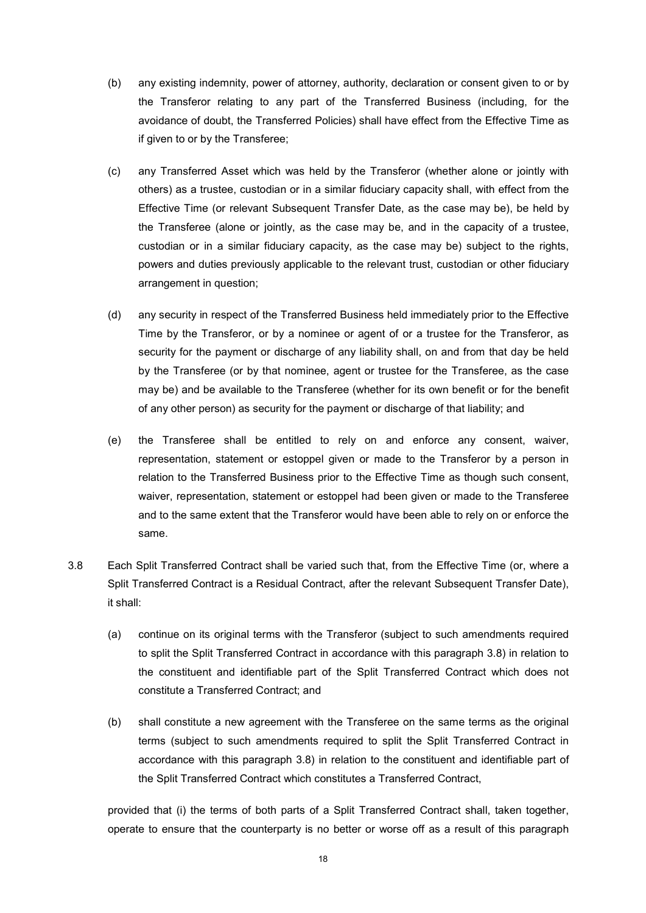- (b) any existing indemnity, power of attorney, authority, declaration or consent given to or by the Transferor relating to any part of the Transferred Business (including, for the avoidance of doubt, the Transferred Policies) shall have effect from the Effective Time as if given to or by the Transferee;
- (c) any Transferred Asset which was held by the Transferor (whether alone or jointly with others) as a trustee, custodian or in a similar fiduciary capacity shall, with effect from the Effective Time (or relevant Subsequent Transfer Date, as the case may be), be held by the Transferee (alone or jointly, as the case may be, and in the capacity of a trustee, custodian or in a similar fiduciary capacity, as the case may be) subject to the rights, powers and duties previously applicable to the relevant trust, custodian or other fiduciary arrangement in question;
- (d) any security in respect of the Transferred Business held immediately prior to the Effective Time by the Transferor, or by a nominee or agent of or a trustee for the Transferor, as security for the payment or discharge of any liability shall, on and from that day be held by the Transferee (or by that nominee, agent or trustee for the Transferee, as the case may be) and be available to the Transferee (whether for its own benefit or for the benefit of any other person) as security for the payment or discharge of that liability; and
- (e) the Transferee shall be entitled to rely on and enforce any consent, waiver, representation, statement or estoppel given or made to the Transferor by a person in relation to the Transferred Business prior to the Effective Time as though such consent, waiver, representation, statement or estoppel had been given or made to the Transferee and to the same extent that the Transferor would have been able to rely on or enforce the same.
- 3.8 Each Split Transferred Contract shall be varied such that, from the Effective Time (or, where a Split Transferred Contract is a Residual Contract, after the relevant Subsequent Transfer Date), it shall:
	- (a) continue on its original terms with the Transferor (subject to such amendments required to split the Split Transferred Contract in accordance with this paragraph 3.8) in relation to the constituent and identifiable part of the Split Transferred Contract which does not constitute a Transferred Contract; and
	- (b) shall constitute a new agreement with the Transferee on the same terms as the original terms (subject to such amendments required to split the Split Transferred Contract in accordance with this paragraph 3.8) in relation to the constituent and identifiable part of the Split Transferred Contract which constitutes a Transferred Contract,

provided that (i) the terms of both parts of a Split Transferred Contract shall, taken together, operate to ensure that the counterparty is no better or worse off as a result of this paragraph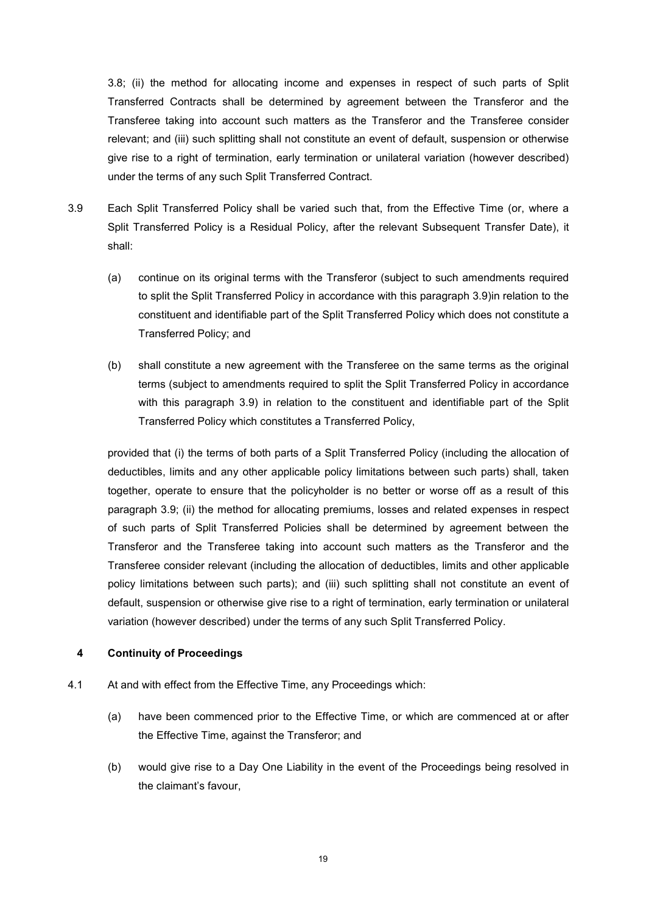3.8; (ii) the method for allocating income and expenses in respect of such parts of Split Transferred Contracts shall be determined by agreement between the Transferor and the Transferee taking into account such matters as the Transferor and the Transferee consider relevant; and (iii) such splitting shall not constitute an event of default, suspension or otherwise give rise to a right of termination, early termination or unilateral variation (however described) under the terms of any such Split Transferred Contract.

- 3.9 Each Split Transferred Policy shall be varied such that, from the Effective Time (or, where a Split Transferred Policy is a Residual Policy, after the relevant Subsequent Transfer Date), it shall:
	- (a) continue on its original terms with the Transferor (subject to such amendments required to split the Split Transferred Policy in accordance with this paragraph 3.9)in relation to the constituent and identifiable part of the Split Transferred Policy which does not constitute a Transferred Policy; and
	- (b) shall constitute a new agreement with the Transferee on the same terms as the original terms (subject to amendments required to split the Split Transferred Policy in accordance with this paragraph 3.9) in relation to the constituent and identifiable part of the Split Transferred Policy which constitutes a Transferred Policy,

provided that (i) the terms of both parts of a Split Transferred Policy (including the allocation of deductibles, limits and any other applicable policy limitations between such parts) shall, taken together, operate to ensure that the policyholder is no better or worse off as a result of this paragraph 3.9; (ii) the method for allocating premiums, losses and related expenses in respect of such parts of Split Transferred Policies shall be determined by agreement between the Transferor and the Transferee taking into account such matters as the Transferor and the Transferee consider relevant (including the allocation of deductibles, limits and other applicable policy limitations between such parts); and (iii) such splitting shall not constitute an event of default, suspension or otherwise give rise to a right of termination, early termination or unilateral variation (however described) under the terms of any such Split Transferred Policy.

## 4 Continuity of Proceedings

- 4.1 At and with effect from the Effective Time, any Proceedings which:
	- (a) have been commenced prior to the Effective Time, or which are commenced at or after the Effective Time, against the Transferor; and
	- (b) would give rise to a Day One Liability in the event of the Proceedings being resolved in the claimant's favour,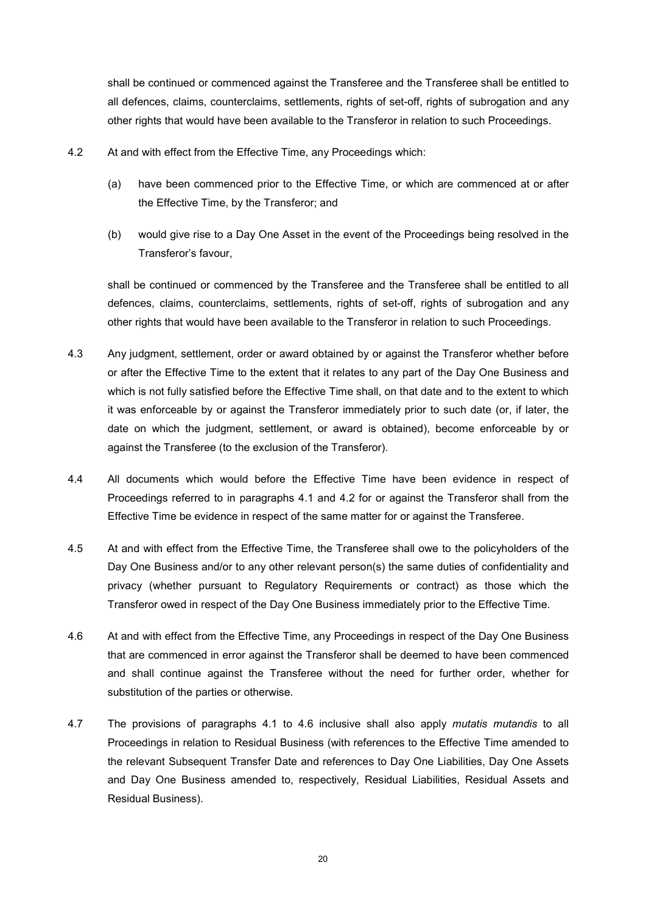shall be continued or commenced against the Transferee and the Transferee shall be entitled to all defences, claims, counterclaims, settlements, rights of set-off, rights of subrogation and any other rights that would have been available to the Transferor in relation to such Proceedings.

- 4.2 At and with effect from the Effective Time, any Proceedings which:
	- (a) have been commenced prior to the Effective Time, or which are commenced at or after the Effective Time, by the Transferor; and
	- (b) would give rise to a Day One Asset in the event of the Proceedings being resolved in the Transferor's favour,

shall be continued or commenced by the Transferee and the Transferee shall be entitled to all defences, claims, counterclaims, settlements, rights of set-off, rights of subrogation and any other rights that would have been available to the Transferor in relation to such Proceedings.

- 4.3 Any judgment, settlement, order or award obtained by or against the Transferor whether before or after the Effective Time to the extent that it relates to any part of the Day One Business and which is not fully satisfied before the Effective Time shall, on that date and to the extent to which it was enforceable by or against the Transferor immediately prior to such date (or, if later, the date on which the judgment, settlement, or award is obtained), become enforceable by or against the Transferee (to the exclusion of the Transferor).
- 4.4 All documents which would before the Effective Time have been evidence in respect of Proceedings referred to in paragraphs 4.1 and 4.2 for or against the Transferor shall from the Effective Time be evidence in respect of the same matter for or against the Transferee.
- 4.5 At and with effect from the Effective Time, the Transferee shall owe to the policyholders of the Day One Business and/or to any other relevant person(s) the same duties of confidentiality and privacy (whether pursuant to Regulatory Requirements or contract) as those which the Transferor owed in respect of the Day One Business immediately prior to the Effective Time.
- 4.6 At and with effect from the Effective Time, any Proceedings in respect of the Day One Business that are commenced in error against the Transferor shall be deemed to have been commenced and shall continue against the Transferee without the need for further order, whether for substitution of the parties or otherwise.
- 4.7 The provisions of paragraphs 4.1 to 4.6 inclusive shall also apply *mutatis mutandis* to all Proceedings in relation to Residual Business (with references to the Effective Time amended to the relevant Subsequent Transfer Date and references to Day One Liabilities, Day One Assets and Day One Business amended to, respectively, Residual Liabilities, Residual Assets and Residual Business).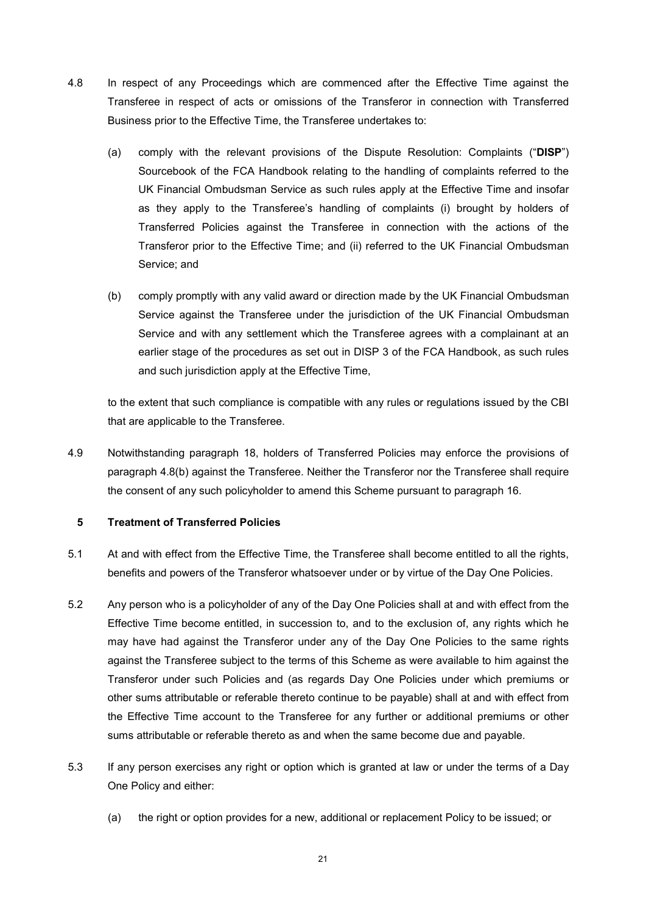- 4.8 In respect of any Proceedings which are commenced after the Effective Time against the Transferee in respect of acts or omissions of the Transferor in connection with Transferred Business prior to the Effective Time, the Transferee undertakes to:
	- (a) comply with the relevant provisions of the Dispute Resolution: Complaints ("DISP") Sourcebook of the FCA Handbook relating to the handling of complaints referred to the UK Financial Ombudsman Service as such rules apply at the Effective Time and insofar as they apply to the Transferee's handling of complaints (i) brought by holders of Transferred Policies against the Transferee in connection with the actions of the Transferor prior to the Effective Time; and (ii) referred to the UK Financial Ombudsman Service; and
	- (b) comply promptly with any valid award or direction made by the UK Financial Ombudsman Service against the Transferee under the jurisdiction of the UK Financial Ombudsman Service and with any settlement which the Transferee agrees with a complainant at an earlier stage of the procedures as set out in DISP 3 of the FCA Handbook, as such rules and such jurisdiction apply at the Effective Time,

to the extent that such compliance is compatible with any rules or regulations issued by the CBI that are applicable to the Transferee.

4.9 Notwithstanding paragraph 18, holders of Transferred Policies may enforce the provisions of paragraph 4.8(b) against the Transferee. Neither the Transferor nor the Transferee shall require the consent of any such policyholder to amend this Scheme pursuant to paragraph 16.

## 5 Treatment of Transferred Policies

- 5.1 At and with effect from the Effective Time, the Transferee shall become entitled to all the rights, benefits and powers of the Transferor whatsoever under or by virtue of the Day One Policies.
- 5.2 Any person who is a policyholder of any of the Day One Policies shall at and with effect from the Effective Time become entitled, in succession to, and to the exclusion of, any rights which he may have had against the Transferor under any of the Day One Policies to the same rights against the Transferee subject to the terms of this Scheme as were available to him against the Transferor under such Policies and (as regards Day One Policies under which premiums or other sums attributable or referable thereto continue to be payable) shall at and with effect from the Effective Time account to the Transferee for any further or additional premiums or other sums attributable or referable thereto as and when the same become due and payable.
- 5.3 If any person exercises any right or option which is granted at law or under the terms of a Day One Policy and either:
	- (a) the right or option provides for a new, additional or replacement Policy to be issued; or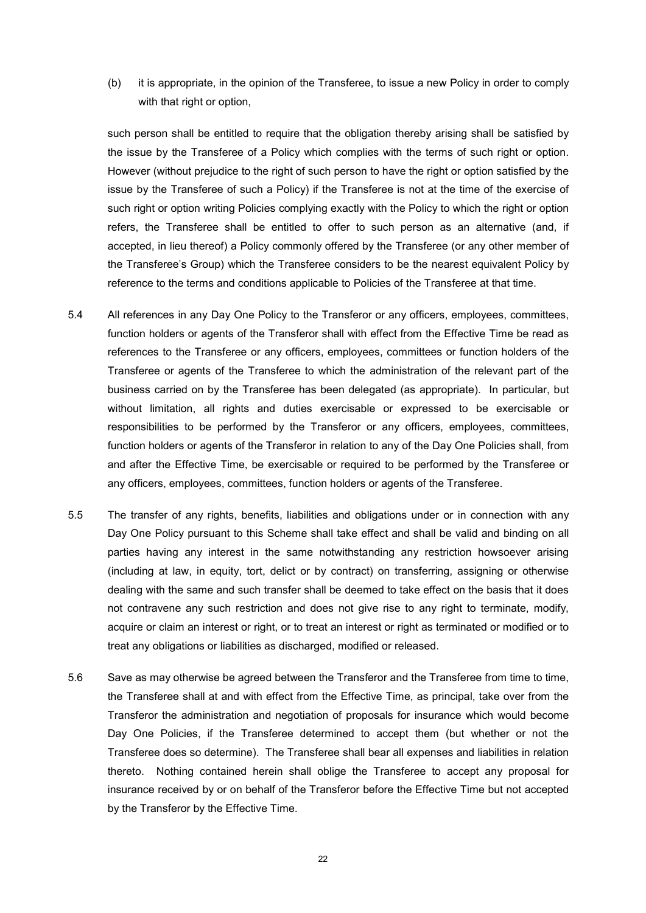(b) it is appropriate, in the opinion of the Transferee, to issue a new Policy in order to comply with that right or option,

such person shall be entitled to require that the obligation thereby arising shall be satisfied by the issue by the Transferee of a Policy which complies with the terms of such right or option. However (without prejudice to the right of such person to have the right or option satisfied by the issue by the Transferee of such a Policy) if the Transferee is not at the time of the exercise of such right or option writing Policies complying exactly with the Policy to which the right or option refers, the Transferee shall be entitled to offer to such person as an alternative (and, if accepted, in lieu thereof) a Policy commonly offered by the Transferee (or any other member of the Transferee's Group) which the Transferee considers to be the nearest equivalent Policy by reference to the terms and conditions applicable to Policies of the Transferee at that time.

- 5.4 All references in any Day One Policy to the Transferor or any officers, employees, committees, function holders or agents of the Transferor shall with effect from the Effective Time be read as references to the Transferee or any officers, employees, committees or function holders of the Transferee or agents of the Transferee to which the administration of the relevant part of the business carried on by the Transferee has been delegated (as appropriate). In particular, but without limitation, all rights and duties exercisable or expressed to be exercisable or responsibilities to be performed by the Transferor or any officers, employees, committees, function holders or agents of the Transferor in relation to any of the Day One Policies shall, from and after the Effective Time, be exercisable or required to be performed by the Transferee or any officers, employees, committees, function holders or agents of the Transferee.
- 5.5 The transfer of any rights, benefits, liabilities and obligations under or in connection with any Day One Policy pursuant to this Scheme shall take effect and shall be valid and binding on all parties having any interest in the same notwithstanding any restriction howsoever arising (including at law, in equity, tort, delict or by contract) on transferring, assigning or otherwise dealing with the same and such transfer shall be deemed to take effect on the basis that it does not contravene any such restriction and does not give rise to any right to terminate, modify, acquire or claim an interest or right, or to treat an interest or right as terminated or modified or to treat any obligations or liabilities as discharged, modified or released.
- 5.6 Save as may otherwise be agreed between the Transferor and the Transferee from time to time, the Transferee shall at and with effect from the Effective Time, as principal, take over from the Transferor the administration and negotiation of proposals for insurance which would become Day One Policies, if the Transferee determined to accept them (but whether or not the Transferee does so determine). The Transferee shall bear all expenses and liabilities in relation thereto. Nothing contained herein shall oblige the Transferee to accept any proposal for insurance received by or on behalf of the Transferor before the Effective Time but not accepted by the Transferor by the Effective Time.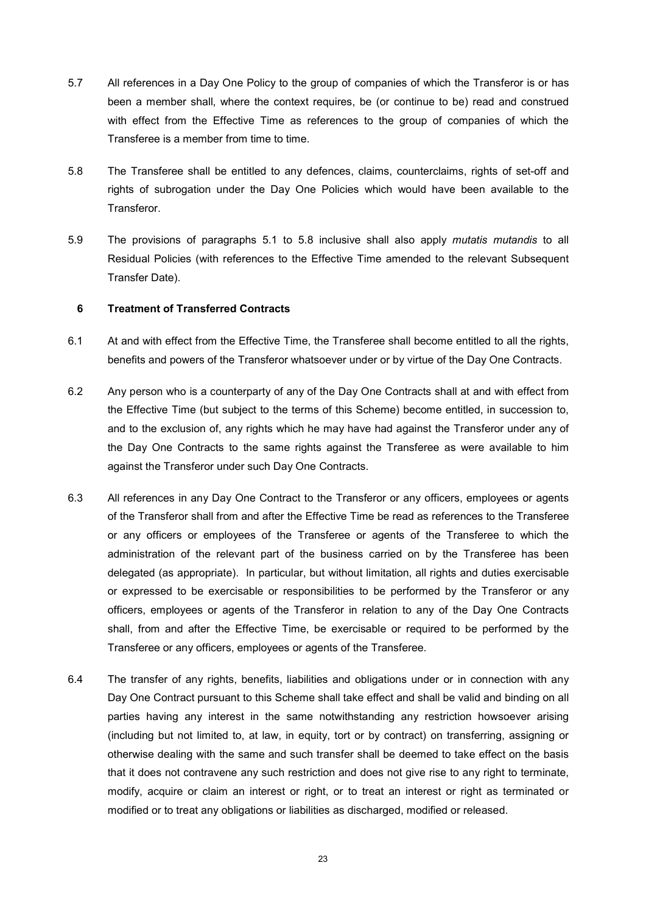- 5.7 All references in a Day One Policy to the group of companies of which the Transferor is or has been a member shall, where the context requires, be (or continue to be) read and construed with effect from the Effective Time as references to the group of companies of which the Transferee is a member from time to time.
- 5.8 The Transferee shall be entitled to any defences, claims, counterclaims, rights of set-off and rights of subrogation under the Day One Policies which would have been available to the Transferor.
- 5.9 The provisions of paragraphs 5.1 to 5.8 inclusive shall also apply mutatis mutandis to all Residual Policies (with references to the Effective Time amended to the relevant Subsequent Transfer Date).

#### 6 Treatment of Transferred Contracts

- 6.1 At and with effect from the Effective Time, the Transferee shall become entitled to all the rights, benefits and powers of the Transferor whatsoever under or by virtue of the Day One Contracts.
- 6.2 Any person who is a counterparty of any of the Day One Contracts shall at and with effect from the Effective Time (but subject to the terms of this Scheme) become entitled, in succession to, and to the exclusion of, any rights which he may have had against the Transferor under any of the Day One Contracts to the same rights against the Transferee as were available to him against the Transferor under such Day One Contracts.
- 6.3 All references in any Day One Contract to the Transferor or any officers, employees or agents of the Transferor shall from and after the Effective Time be read as references to the Transferee or any officers or employees of the Transferee or agents of the Transferee to which the administration of the relevant part of the business carried on by the Transferee has been delegated (as appropriate). In particular, but without limitation, all rights and duties exercisable or expressed to be exercisable or responsibilities to be performed by the Transferor or any officers, employees or agents of the Transferor in relation to any of the Day One Contracts shall, from and after the Effective Time, be exercisable or required to be performed by the Transferee or any officers, employees or agents of the Transferee.
- 6.4 The transfer of any rights, benefits, liabilities and obligations under or in connection with any Day One Contract pursuant to this Scheme shall take effect and shall be valid and binding on all parties having any interest in the same notwithstanding any restriction howsoever arising (including but not limited to, at law, in equity, tort or by contract) on transferring, assigning or otherwise dealing with the same and such transfer shall be deemed to take effect on the basis that it does not contravene any such restriction and does not give rise to any right to terminate, modify, acquire or claim an interest or right, or to treat an interest or right as terminated or modified or to treat any obligations or liabilities as discharged, modified or released.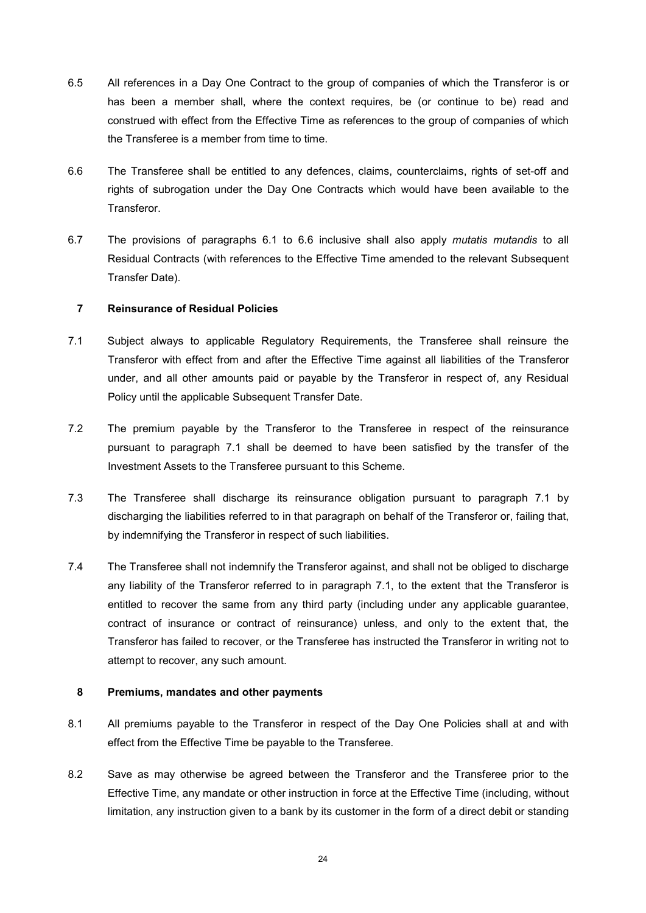- 6.5 All references in a Day One Contract to the group of companies of which the Transferor is or has been a member shall, where the context requires, be (or continue to be) read and construed with effect from the Effective Time as references to the group of companies of which the Transferee is a member from time to time.
- 6.6 The Transferee shall be entitled to any defences, claims, counterclaims, rights of set-off and rights of subrogation under the Day One Contracts which would have been available to the Transferor.
- 6.7 The provisions of paragraphs 6.1 to 6.6 inclusive shall also apply mutatis mutandis to all Residual Contracts (with references to the Effective Time amended to the relevant Subsequent Transfer Date).

## 7 Reinsurance of Residual Policies

- 7.1 Subject always to applicable Regulatory Requirements, the Transferee shall reinsure the Transferor with effect from and after the Effective Time against all liabilities of the Transferor under, and all other amounts paid or payable by the Transferor in respect of, any Residual Policy until the applicable Subsequent Transfer Date.
- 7.2 The premium payable by the Transferor to the Transferee in respect of the reinsurance pursuant to paragraph 7.1 shall be deemed to have been satisfied by the transfer of the Investment Assets to the Transferee pursuant to this Scheme.
- 7.3 The Transferee shall discharge its reinsurance obligation pursuant to paragraph 7.1 by discharging the liabilities referred to in that paragraph on behalf of the Transferor or, failing that, by indemnifying the Transferor in respect of such liabilities.
- 7.4 The Transferee shall not indemnify the Transferor against, and shall not be obliged to discharge any liability of the Transferor referred to in paragraph 7.1, to the extent that the Transferor is entitled to recover the same from any third party (including under any applicable guarantee, contract of insurance or contract of reinsurance) unless, and only to the extent that, the Transferor has failed to recover, or the Transferee has instructed the Transferor in writing not to attempt to recover, any such amount.

## 8 Premiums, mandates and other payments

- 8.1 All premiums payable to the Transferor in respect of the Day One Policies shall at and with effect from the Effective Time be payable to the Transferee.
- 8.2 Save as may otherwise be agreed between the Transferor and the Transferee prior to the Effective Time, any mandate or other instruction in force at the Effective Time (including, without limitation, any instruction given to a bank by its customer in the form of a direct debit or standing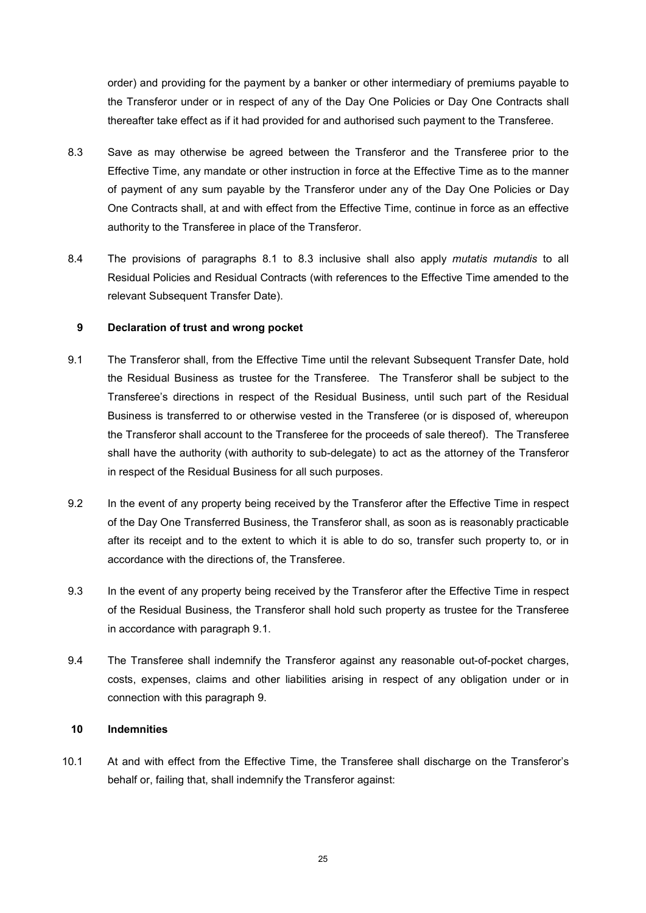order) and providing for the payment by a banker or other intermediary of premiums payable to the Transferor under or in respect of any of the Day One Policies or Day One Contracts shall thereafter take effect as if it had provided for and authorised such payment to the Transferee.

- 8.3 Save as may otherwise be agreed between the Transferor and the Transferee prior to the Effective Time, any mandate or other instruction in force at the Effective Time as to the manner of payment of any sum payable by the Transferor under any of the Day One Policies or Day One Contracts shall, at and with effect from the Effective Time, continue in force as an effective authority to the Transferee in place of the Transferor.
- 8.4 The provisions of paragraphs 8.1 to 8.3 inclusive shall also apply *mutatis mutandis* to all Residual Policies and Residual Contracts (with references to the Effective Time amended to the relevant Subsequent Transfer Date).

#### 9 Declaration of trust and wrong pocket

- 9.1 The Transferor shall, from the Effective Time until the relevant Subsequent Transfer Date, hold the Residual Business as trustee for the Transferee. The Transferor shall be subject to the Transferee's directions in respect of the Residual Business, until such part of the Residual Business is transferred to or otherwise vested in the Transferee (or is disposed of, whereupon the Transferor shall account to the Transferee for the proceeds of sale thereof). The Transferee shall have the authority (with authority to sub-delegate) to act as the attorney of the Transferor in respect of the Residual Business for all such purposes.
- 9.2 In the event of any property being received by the Transferor after the Effective Time in respect of the Day One Transferred Business, the Transferor shall, as soon as is reasonably practicable after its receipt and to the extent to which it is able to do so, transfer such property to, or in accordance with the directions of, the Transferee.
- 9.3 In the event of any property being received by the Transferor after the Effective Time in respect of the Residual Business, the Transferor shall hold such property as trustee for the Transferee in accordance with paragraph 9.1.
- 9.4 The Transferee shall indemnify the Transferor against any reasonable out-of-pocket charges, costs, expenses, claims and other liabilities arising in respect of any obligation under or in connection with this paragraph 9.

## 10 Indemnities

10.1 At and with effect from the Effective Time, the Transferee shall discharge on the Transferor's behalf or, failing that, shall indemnify the Transferor against: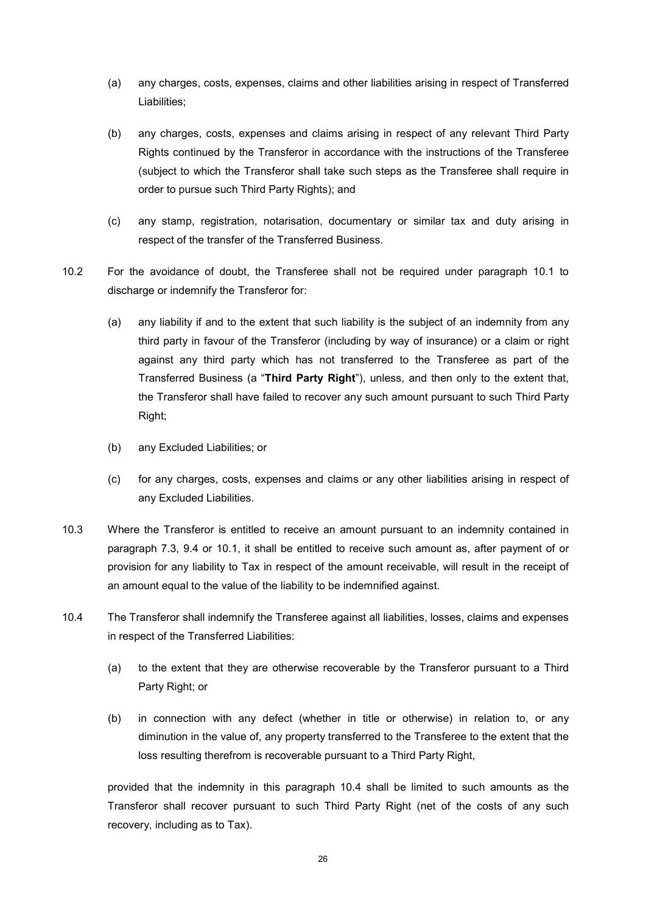- (a) any charges, costs, expenses, claims and other liabilities arising in respect of Transferred Liabilities;
- (b) any charges, costs, expenses and claims arising in respect of any relevant Third Party Rights continued by the Transferor in accordance with the instructions of the Transferee (subject to which the Transferor shall take such steps as the Transferee shall require in order to pursue such Third Party Rights); and
- (c) any stamp, registration, notarisation, documentary or similar tax and duty arising in respect of the transfer of the Transferred Business.
- 10.2 For the avoidance of doubt, the Transferee shall not be required under paragraph 10.1 to discharge or indemnify the Transferor for:
	- (a) any liability if and to the extent that such liability is the subject of an indemnity from any third party in favour of the Transferor (including by way of insurance) or a claim or right against any third party which has not transferred to the Transferee as part of the Transferred Business (a "Third Party Right"), unless, and then only to the extent that, the Transferor shall have failed to recover any such amount pursuant to such Third Party Right;
	- (b) any Excluded Liabilities; or
	- (c) for any charges, costs, expenses and claims or any other liabilities arising in respect of any Excluded Liabilities.
- 10.3 Where the Transferor is entitled to receive an amount pursuant to an indemnity contained in paragraph 7.3, 9.4 or 10.1, it shall be entitled to receive such amount as, after payment of or provision for any liability to Tax in respect of the amount receivable, will result in the receipt of an amount equal to the value of the liability to be indemnified against.
- 10.4 The Transferor shall indemnify the Transferee against all liabilities, losses, claims and expenses in respect of the Transferred Liabilities:
	- (a) to the extent that they are otherwise recoverable by the Transferor pursuant to a Third Party Right; or
	- (b) in connection with any defect (whether in title or otherwise) in relation to, or any diminution in the value of, any property transferred to the Transferee to the extent that the loss resulting therefrom is recoverable pursuant to a Third Party Right,

provided that the indemnity in this paragraph 10.4 shall be limited to such amounts as the Transferor shall recover pursuant to such Third Party Right (net of the costs of any such recovery, including as to Tax).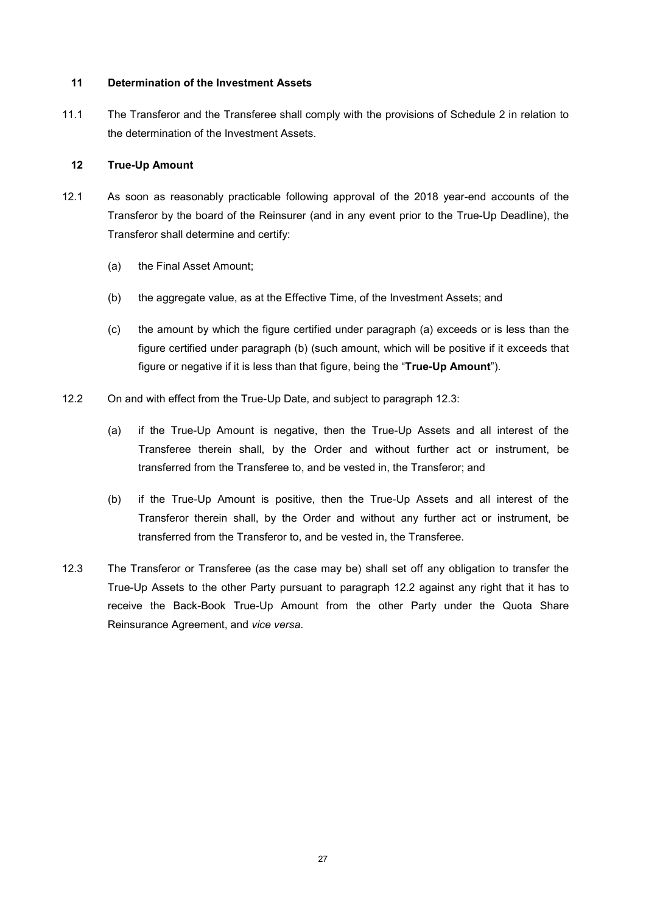#### 11 Determination of the Investment Assets

11.1 The Transferor and the Transferee shall comply with the provisions of Schedule 2 in relation to the determination of the Investment Assets.

## 12 True-Up Amount

- 12.1 As soon as reasonably practicable following approval of the 2018 year-end accounts of the Transferor by the board of the Reinsurer (and in any event prior to the True-Up Deadline), the Transferor shall determine and certify:
	- (a) the Final Asset Amount;
	- (b) the aggregate value, as at the Effective Time, of the Investment Assets; and
	- (c) the amount by which the figure certified under paragraph (a) exceeds or is less than the figure certified under paragraph (b) (such amount, which will be positive if it exceeds that figure or negative if it is less than that figure, being the "True-Up Amount").
- 12.2 On and with effect from the True-Up Date, and subject to paragraph 12.3:
	- (a) if the True-Up Amount is negative, then the True-Up Assets and all interest of the Transferee therein shall, by the Order and without further act or instrument, be transferred from the Transferee to, and be vested in, the Transferor; and
	- (b) if the True-Up Amount is positive, then the True-Up Assets and all interest of the Transferor therein shall, by the Order and without any further act or instrument, be transferred from the Transferor to, and be vested in, the Transferee.
- 12.3 The Transferor or Transferee (as the case may be) shall set off any obligation to transfer the True-Up Assets to the other Party pursuant to paragraph 12.2 against any right that it has to receive the Back-Book True-Up Amount from the other Party under the Quota Share Reinsurance Agreement, and vice versa.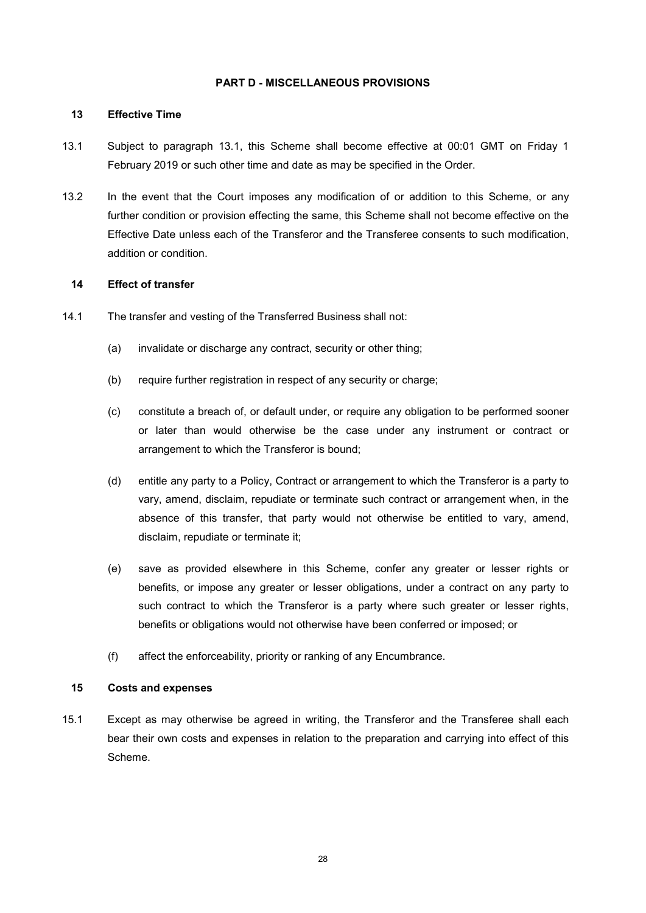#### PART D - MISCELLANEOUS PROVISIONS

#### 13 Effective Time

- 13.1 Subject to paragraph 13.1, this Scheme shall become effective at 00:01 GMT on Friday 1 February 2019 or such other time and date as may be specified in the Order.
- 13.2 In the event that the Court imposes any modification of or addition to this Scheme, or any further condition or provision effecting the same, this Scheme shall not become effective on the Effective Date unless each of the Transferor and the Transferee consents to such modification, addition or condition.

#### 14 Effect of transfer

- 14.1 The transfer and vesting of the Transferred Business shall not:
	- (a) invalidate or discharge any contract, security or other thing;
	- (b) require further registration in respect of any security or charge;
	- (c) constitute a breach of, or default under, or require any obligation to be performed sooner or later than would otherwise be the case under any instrument or contract or arrangement to which the Transferor is bound;
	- (d) entitle any party to a Policy, Contract or arrangement to which the Transferor is a party to vary, amend, disclaim, repudiate or terminate such contract or arrangement when, in the absence of this transfer, that party would not otherwise be entitled to vary, amend, disclaim, repudiate or terminate it;
	- (e) save as provided elsewhere in this Scheme, confer any greater or lesser rights or benefits, or impose any greater or lesser obligations, under a contract on any party to such contract to which the Transferor is a party where such greater or lesser rights, benefits or obligations would not otherwise have been conferred or imposed; or
	- (f) affect the enforceability, priority or ranking of any Encumbrance.

#### 15 Costs and expenses

15.1 Except as may otherwise be agreed in writing, the Transferor and the Transferee shall each bear their own costs and expenses in relation to the preparation and carrying into effect of this Scheme.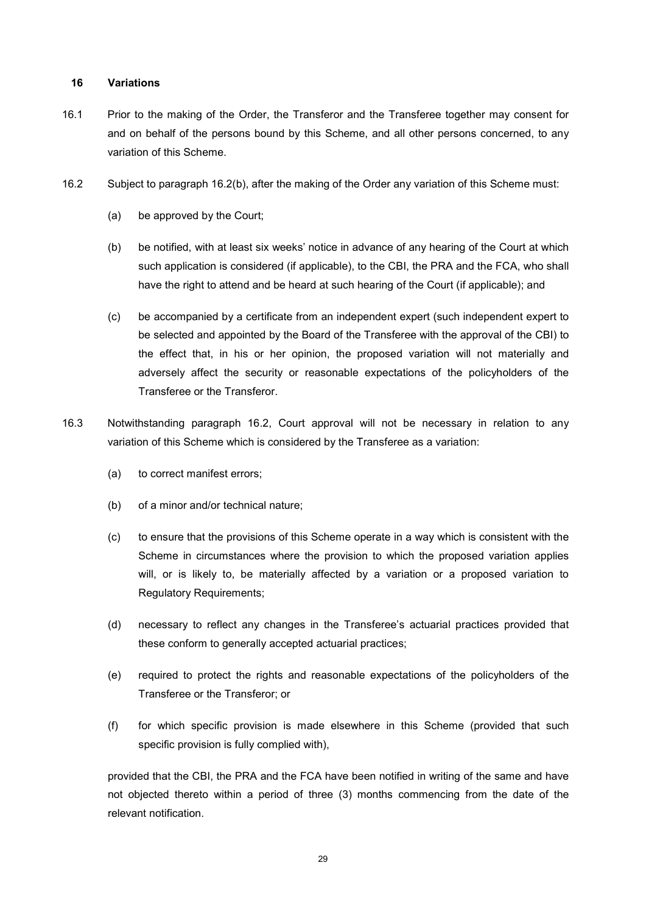#### 16 Variations

- 16.1 Prior to the making of the Order, the Transferor and the Transferee together may consent for and on behalf of the persons bound by this Scheme, and all other persons concerned, to any variation of this Scheme.
- 16.2 Subject to paragraph 16.2(b), after the making of the Order any variation of this Scheme must:
	- (a) be approved by the Court;
	- (b) be notified, with at least six weeks' notice in advance of any hearing of the Court at which such application is considered (if applicable), to the CBI, the PRA and the FCA, who shall have the right to attend and be heard at such hearing of the Court (if applicable); and
	- (c) be accompanied by a certificate from an independent expert (such independent expert to be selected and appointed by the Board of the Transferee with the approval of the CBI) to the effect that, in his or her opinion, the proposed variation will not materially and adversely affect the security or reasonable expectations of the policyholders of the Transferee or the Transferor.
- 16.3 Notwithstanding paragraph 16.2, Court approval will not be necessary in relation to any variation of this Scheme which is considered by the Transferee as a variation:
	- (a) to correct manifest errors;
	- (b) of a minor and/or technical nature;
	- (c) to ensure that the provisions of this Scheme operate in a way which is consistent with the Scheme in circumstances where the provision to which the proposed variation applies will, or is likely to, be materially affected by a variation or a proposed variation to Regulatory Requirements;
	- (d) necessary to reflect any changes in the Transferee's actuarial practices provided that these conform to generally accepted actuarial practices;
	- (e) required to protect the rights and reasonable expectations of the policyholders of the Transferee or the Transferor; or
	- (f) for which specific provision is made elsewhere in this Scheme (provided that such specific provision is fully complied with),

provided that the CBI, the PRA and the FCA have been notified in writing of the same and have not objected thereto within a period of three (3) months commencing from the date of the relevant notification.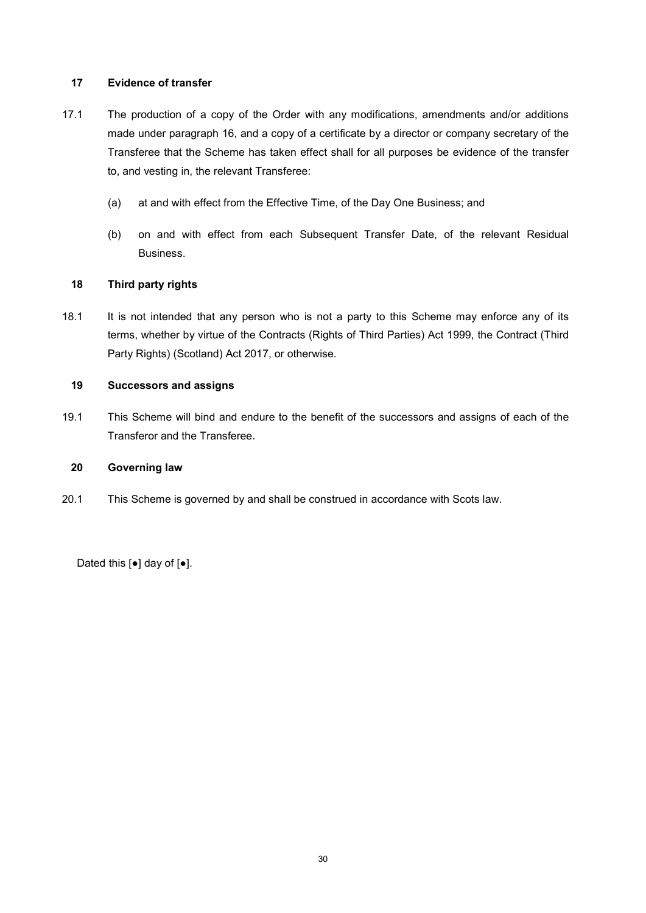## 17 Evidence of transfer

- 17.1 The production of a copy of the Order with any modifications, amendments and/or additions made under paragraph 16, and a copy of a certificate by a director or company secretary of the Transferee that the Scheme has taken effect shall for all purposes be evidence of the transfer to, and vesting in, the relevant Transferee:
	- (a) at and with effect from the Effective Time, of the Day One Business; and
	- (b) on and with effect from each Subsequent Transfer Date, of the relevant Residual Business.

## 18 Third party rights

18.1 It is not intended that any person who is not a party to this Scheme may enforce any of its terms, whether by virtue of the Contracts (Rights of Third Parties) Act 1999, the Contract (Third Party Rights) (Scotland) Act 2017, or otherwise.

## 19 Successors and assigns

19.1 This Scheme will bind and endure to the benefit of the successors and assigns of each of the Transferor and the Transferee.

## 20 Governing law

20.1 This Scheme is governed by and shall be construed in accordance with Scots law.

Dated this [●] day of [●].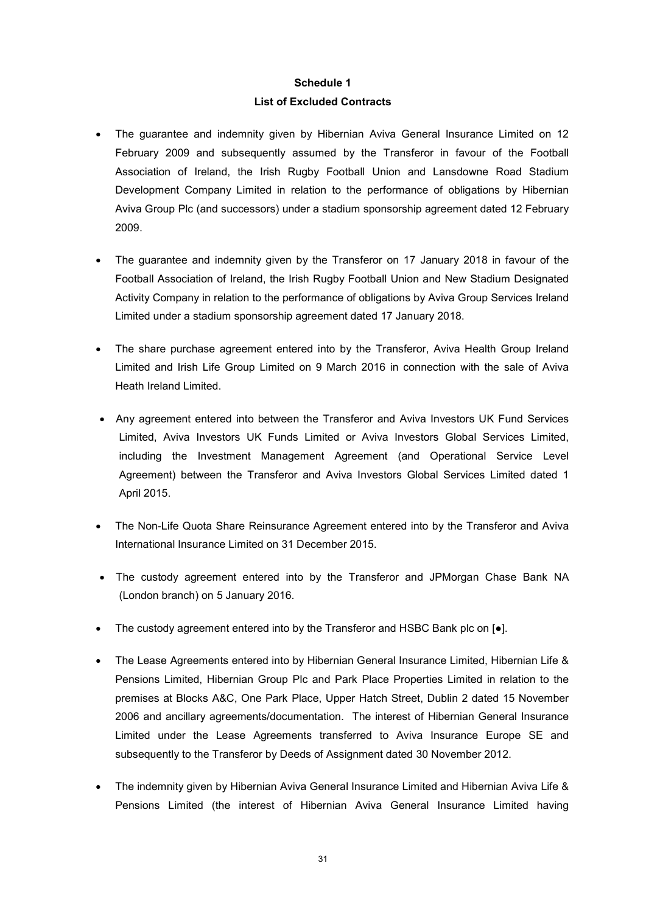# Schedule 1 List of Excluded Contracts

- The guarantee and indemnity given by Hibernian Aviva General Insurance Limited on 12 February 2009 and subsequently assumed by the Transferor in favour of the Football Association of Ireland, the Irish Rugby Football Union and Lansdowne Road Stadium Development Company Limited in relation to the performance of obligations by Hibernian Aviva Group Plc (and successors) under a stadium sponsorship agreement dated 12 February 2009.
- The guarantee and indemnity given by the Transferor on 17 January 2018 in favour of the Football Association of Ireland, the Irish Rugby Football Union and New Stadium Designated Activity Company in relation to the performance of obligations by Aviva Group Services Ireland Limited under a stadium sponsorship agreement dated 17 January 2018.
- The share purchase agreement entered into by the Transferor, Aviva Health Group Ireland Limited and Irish Life Group Limited on 9 March 2016 in connection with the sale of Aviva Heath Ireland Limited.
- Any agreement entered into between the Transferor and Aviva Investors UK Fund Services Limited, Aviva Investors UK Funds Limited or Aviva Investors Global Services Limited, including the Investment Management Agreement (and Operational Service Level Agreement) between the Transferor and Aviva Investors Global Services Limited dated 1 April 2015.
- The Non-Life Quota Share Reinsurance Agreement entered into by the Transferor and Aviva International Insurance Limited on 31 December 2015.
- The custody agreement entered into by the Transferor and JPMorgan Chase Bank NA (London branch) on 5 January 2016.
- The custody agreement entered into by the Transferor and HSBC Bank plc on [●].
- The Lease Agreements entered into by Hibernian General Insurance Limited, Hibernian Life & Pensions Limited, Hibernian Group Plc and Park Place Properties Limited in relation to the premises at Blocks A&C, One Park Place, Upper Hatch Street, Dublin 2 dated 15 November 2006 and ancillary agreements/documentation. The interest of Hibernian General Insurance Limited under the Lease Agreements transferred to Aviva Insurance Europe SE and subsequently to the Transferor by Deeds of Assignment dated 30 November 2012.
- The indemnity given by Hibernian Aviva General Insurance Limited and Hibernian Aviva Life & Pensions Limited (the interest of Hibernian Aviva General Insurance Limited having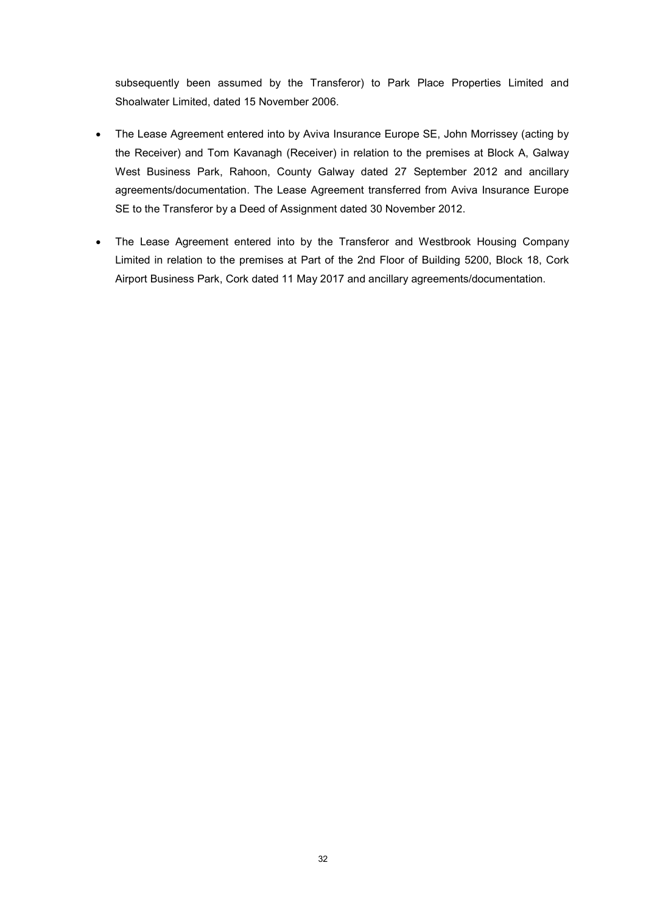subsequently been assumed by the Transferor) to Park Place Properties Limited and Shoalwater Limited, dated 15 November 2006.

- The Lease Agreement entered into by Aviva Insurance Europe SE, John Morrissey (acting by the Receiver) and Tom Kavanagh (Receiver) in relation to the premises at Block A, Galway West Business Park, Rahoon, County Galway dated 27 September 2012 and ancillary agreements/documentation. The Lease Agreement transferred from Aviva Insurance Europe SE to the Transferor by a Deed of Assignment dated 30 November 2012.
- The Lease Agreement entered into by the Transferor and Westbrook Housing Company Limited in relation to the premises at Part of the 2nd Floor of Building 5200, Block 18, Cork Airport Business Park, Cork dated 11 May 2017 and ancillary agreements/documentation.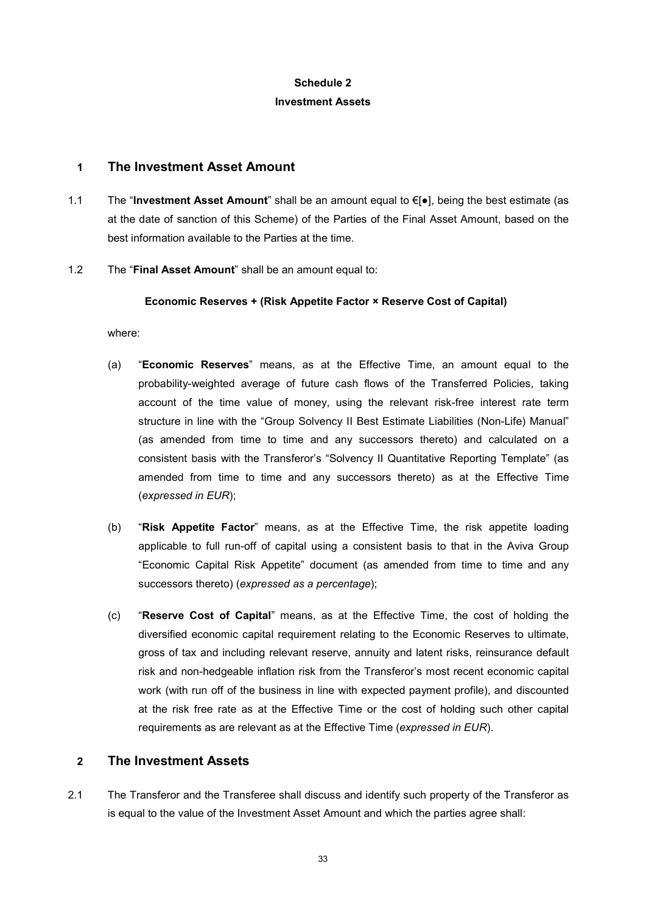# Schedule 2 Investment Assets

## 1 The Investment Asset Amount

1.1 The "Investment Asset Amount" shall be an amount equal to €[●], being the best estimate (as at the date of sanction of this Scheme) of the Parties of the Final Asset Amount, based on the best information available to the Parties at the time.

## 1.2 The "Final Asset Amount" shall be an amount equal to:

## Economic Reserves + (Risk Appetite Factor × Reserve Cost of Capital)

where:

- (a) "Economic Reserves" means, as at the Effective Time, an amount equal to the probability-weighted average of future cash flows of the Transferred Policies, taking account of the time value of money, using the relevant risk-free interest rate term structure in line with the "Group Solvency II Best Estimate Liabilities (Non-Life) Manual" (as amended from time to time and any successors thereto) and calculated on a consistent basis with the Transferor's "Solvency II Quantitative Reporting Template" (as amended from time to time and any successors thereto) as at the Effective Time (expressed in EUR);
- (b) "Risk Appetite Factor" means, as at the Effective Time, the risk appetite loading applicable to full run-off of capital using a consistent basis to that in the Aviva Group "Economic Capital Risk Appetite" document (as amended from time to time and any successors thereto) (expressed as a percentage);
- (c) "Reserve Cost of Capital" means, as at the Effective Time, the cost of holding the diversified economic capital requirement relating to the Economic Reserves to ultimate, gross of tax and including relevant reserve, annuity and latent risks, reinsurance default risk and non-hedgeable inflation risk from the Transferor's most recent economic capital work (with run off of the business in line with expected payment profile), and discounted at the risk free rate as at the Effective Time or the cost of holding such other capital requirements as are relevant as at the Effective Time (expressed in EUR).

# 2 The Investment Assets

2.1 The Transferor and the Transferee shall discuss and identify such property of the Transferor as is equal to the value of the Investment Asset Amount and which the parties agree shall: